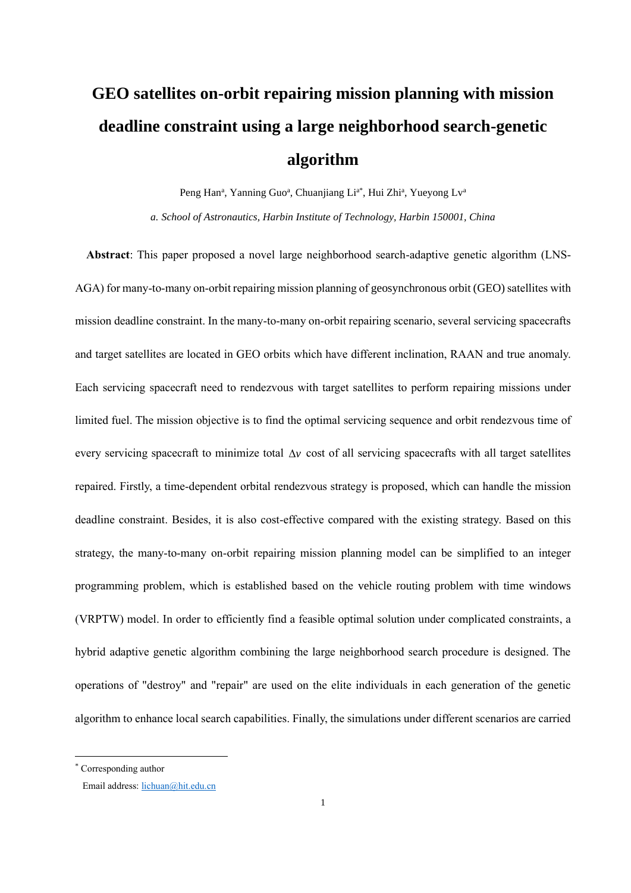# **GEO satellites on-orbit repairing mission planning with mission deadline constraint using a large neighborhood search-genetic algorithm**

Peng Han<sup>a</sup>, Yanning Guo<sup>a</sup>, Chuanjiang Li<sup>a\*</sup>, Hui Zhi<sup>a</sup>, Yueyong Lv<sup>a</sup>

*a. School of Astronautics, Harbin Institute of Technology, Harbin 150001, China*

**Abstract**: This paper proposed a novel large neighborhood search-adaptive genetic algorithm (LNS-AGA) for many-to-many on-orbit repairing mission planning of geosynchronous orbit (GEO) satellites with mission deadline constraint. In the many-to-many on-orbit repairing scenario, several servicing spacecrafts and target satellites are located in GEO orbits which have different inclination, RAAN and true anomaly. Each servicing spacecraft need to rendezvous with target satellites to perform repairing missions under limited fuel. The mission objective is to find the optimal servicing sequence and orbit rendezvous time of every servicing spacecraft to minimize total  $\Delta v$  cost of all servicing spacecrafts with all target satellites repaired. Firstly, a time-dependent orbital rendezvous strategy is proposed, which can handle the mission deadline constraint. Besides, it is also cost-effective compared with the existing strategy. Based on this strategy, the many-to-many on-orbit repairing mission planning model can be simplified to an integer programming problem, which is established based on the vehicle routing problem with time windows (VRPTW) model. In order to efficiently find a feasible optimal solution under complicated constraints, a hybrid adaptive genetic algorithm combining the large neighborhood search procedure is designed. The operations of "destroy" and "repair" are used on the elite individuals in each generation of the genetic algorithm to enhance local search capabilities. Finally, the simulations under different scenarios are carried

<sup>\*</sup> Corresponding author

Email address[: lichuan@hit.edu.cn](mailto:lichuan@hit.edu.cn)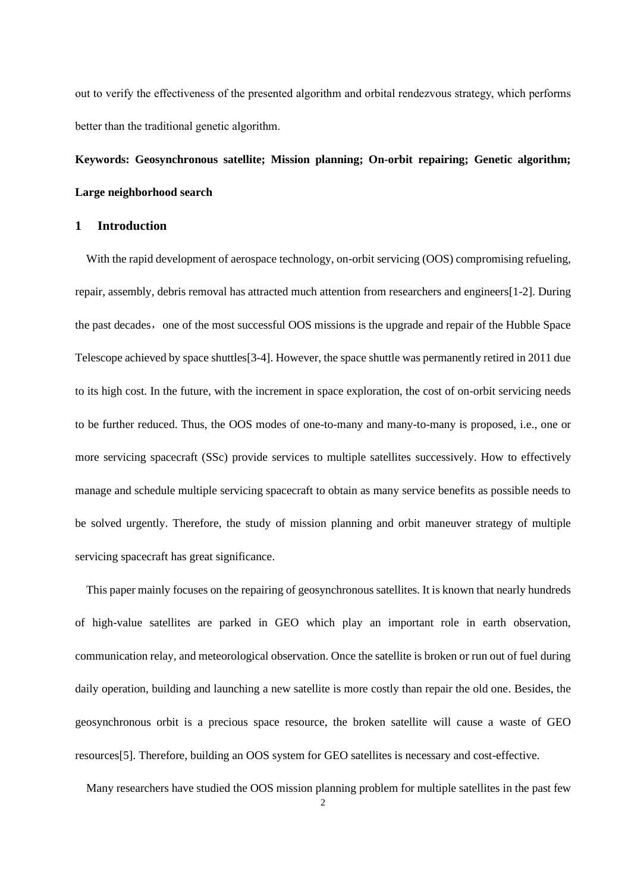out to verify the effectiveness of the presented algorithm and orbital rendezvous strategy, which performs better than the traditional genetic algorithm.

# **Keywords: Geosynchronous satellite; Mission planning; On-orbit repairing; Genetic algorithm; Large neighborhood search**

# **1 Introduction**

With the rapid development of aerospace technology, on-orbit servicing (OOS) compromising refueling, repair, assembly, debris removal has attracted much attention from researchers and engineers[1-2]. During the past decades, one of the most successful OOS missions is the upgrade and repair of the Hubble Space Telescope achieved by space shuttles[3-4]. However, the space shuttle was permanently retired in 2011 due to its high cost. In the future, with the increment in space exploration, the cost of on-orbit servicing needs to be further reduced. Thus, the OOS modes of one-to-many and many-to-many is proposed, i.e., one or more servicing spacecraft (SSc) provide services to multiple satellites successively. How to effectively manage and schedule multiple servicing spacecraft to obtain as many service benefits as possible needs to be solved urgently. Therefore, the study of mission planning and orbit maneuver strategy of multiple servicing spacecraft has great significance.

This paper mainly focuses on the repairing of geosynchronous satellites. It is known that nearly hundreds of high-value satellites are parked in GEO which play an important role in earth observation, communication relay, and meteorological observation. Once the satellite is broken or run out of fuel during daily operation, building and launching a new satellite is more costly than repair the old one. Besides, the geosynchronous orbit is a precious space resource, the broken satellite will cause a waste of GEO resources[5]. Therefore, building an OOS system for GEO satellites is necessary and cost-effective.

Many researchers have studied the OOS mission planning problem for multiple satellites in the past few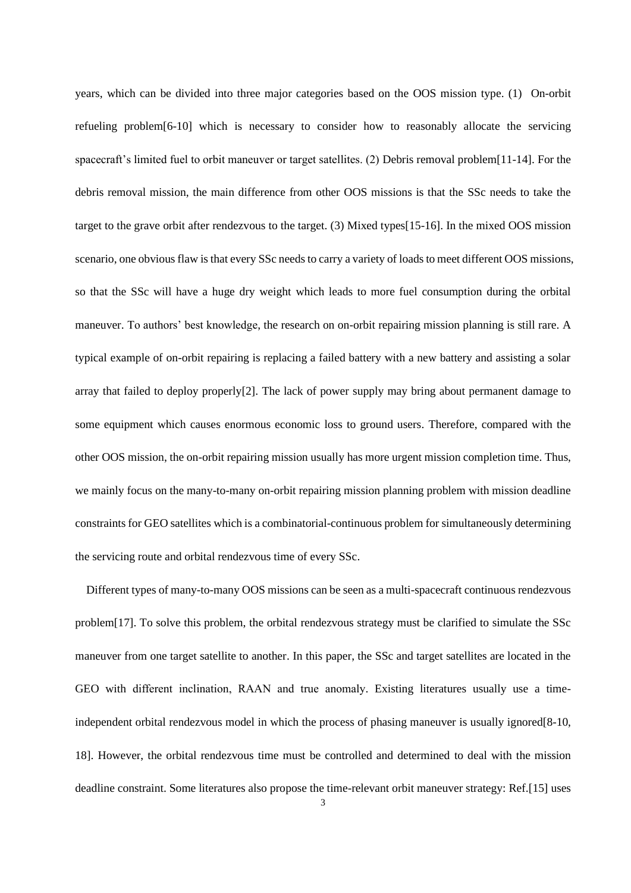years, which can be divided into three major categories based on the OOS mission type. (1) On-orbit refueling problem[6-10] which is necessary to consider how to reasonably allocate the servicing spacecraft's limited fuel to orbit maneuver or target satellites. (2) Debris removal problem[11-14]. For the debris removal mission, the main difference from other OOS missions is that the SSc needs to take the target to the grave orbit after rendezvous to the target. (3) Mixed types[15-16]. In the mixed OOS mission scenario, one obvious flaw is that every SSc needs to carry a variety of loads to meet different OOS missions, so that the SSc will have a huge dry weight which leads to more fuel consumption during the orbital maneuver. To authors' best knowledge, the research on on-orbit repairing mission planning is still rare. A typical example of on-orbit repairing is replacing a failed battery with a new battery and assisting a solar array that failed to deploy properly[2]. The lack of power supply may bring about permanent damage to some equipment which causes enormous economic loss to ground users. Therefore, compared with the other OOS mission, the on-orbit repairing mission usually has more urgent mission completion time. Thus, we mainly focus on the many-to-many on-orbit repairing mission planning problem with mission deadline constraints for GEO satellites which is a combinatorial-continuous problem for simultaneously determining the servicing route and orbital rendezvous time of every SSc.

Different types of many-to-many OOS missions can be seen as a multi-spacecraft continuous rendezvous problem[17]. To solve this problem, the orbital rendezvous strategy must be clarified to simulate the SSc maneuver from one target satellite to another. In this paper, the SSc and target satellites are located in the GEO with different inclination, RAAN and true anomaly. Existing literatures usually use a timeindependent orbital rendezvous model in which the process of phasing maneuver is usually ignored[8-10, 18]. However, the orbital rendezvous time must be controlled and determined to deal with the mission deadline constraint. Some literatures also propose the time-relevant orbit maneuver strategy: Ref.[15] uses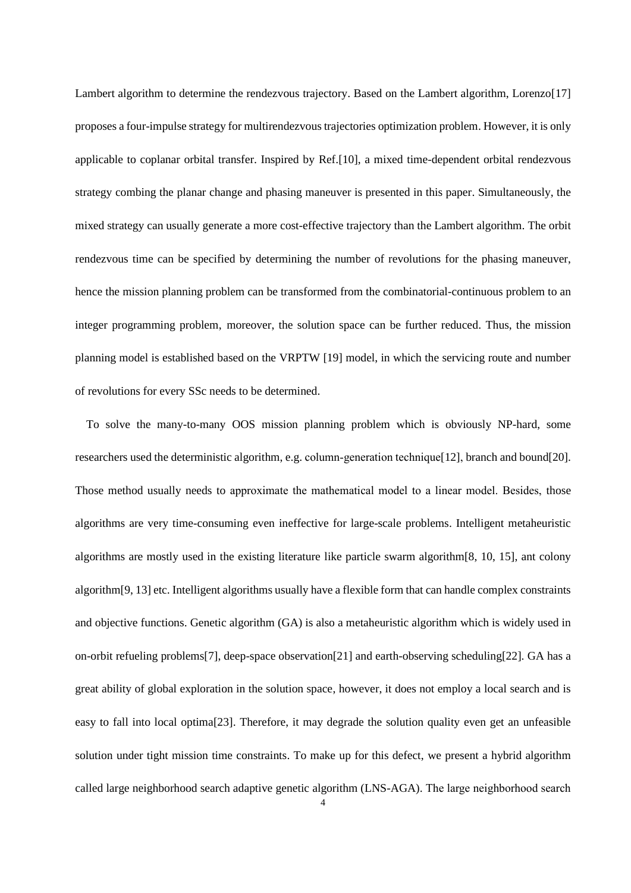Lambert algorithm to determine the rendezvous trajectory. Based on the Lambert algorithm, Lorenzo<sup>[17]</sup> proposes a four-impulse strategy for multirendezvous trajectories optimization problem. However, it is only applicable to coplanar orbital transfer. Inspired by Ref.[10], a mixed time-dependent orbital rendezvous strategy combing the planar change and phasing maneuver is presented in this paper. Simultaneously, the mixed strategy can usually generate a more cost-effective trajectory than the Lambert algorithm. The orbit rendezvous time can be specified by determining the number of revolutions for the phasing maneuver, hence the mission planning problem can be transformed from the combinatorial-continuous problem to an integer programming problem, moreover, the solution space can be further reduced. Thus, the mission planning model is established based on the VRPTW [19] model, in which the servicing route and number of revolutions for every SSc needs to be determined.

To solve the many-to-many OOS mission planning problem which is obviously NP-hard, some researchers used the deterministic algorithm, e.g. column-generation technique[12], branch and bound[20]. Those method usually needs to approximate the mathematical model to a linear model. Besides, those algorithms are very time-consuming even ineffective for large-scale problems. Intelligent metaheuristic algorithms are mostly used in the existing literature like particle swarm algorithm[8, 10, 15], ant colony algorithm[9, 13] etc. Intelligent algorithms usually have a flexible form that can handle complex constraints and objective functions. Genetic algorithm (GA) is also a metaheuristic algorithm which is widely used in on-orbit refueling problems[7], deep-space observation[21] and earth-observing scheduling[22]. GA has a great ability of global exploration in the solution space, however, it does not employ a local search and is easy to fall into local optima[23]. Therefore, it may degrade the solution quality even get an unfeasible solution under tight mission time constraints. To make up for this defect, we present a hybrid algorithm called large neighborhood search adaptive genetic algorithm (LNS-AGA). The large neighborhood search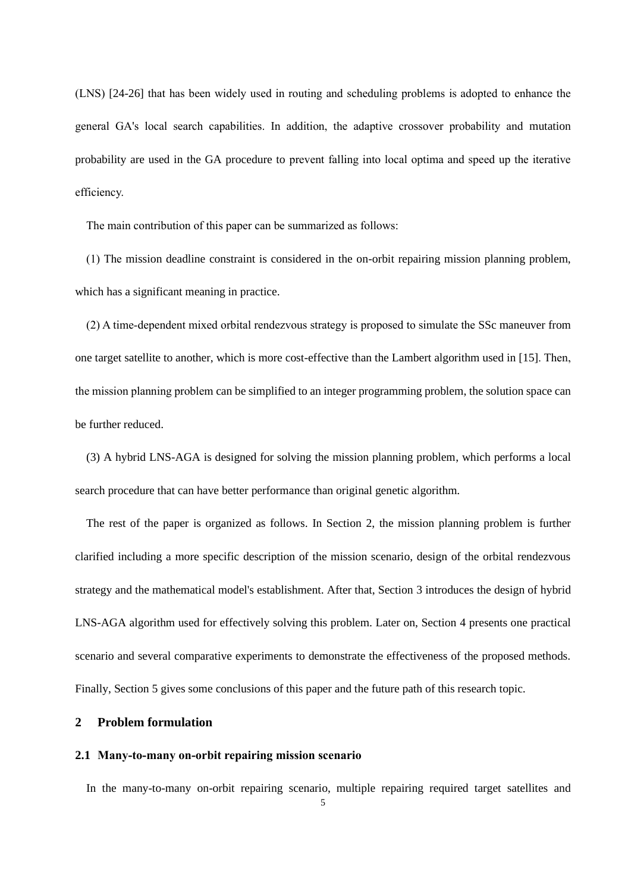(LNS) [24-26] that has been widely used in routing and scheduling problems is adopted to enhance the general GA's local search capabilities. In addition, the adaptive crossover probability and mutation probability are used in the GA procedure to prevent falling into local optima and speed up the iterative efficiency.

The main contribution of this paper can be summarized as follows:

(1) The mission deadline constraint is considered in the on-orbit repairing mission planning problem, which has a significant meaning in practice.

(2) A time-dependent mixed orbital rendezvous strategy is proposed to simulate the SSc maneuver from one target satellite to another, which is more cost-effective than the Lambert algorithm used in [15]. Then, the mission planning problem can be simplified to an integer programming problem, the solution space can be further reduced.

(3) A hybrid LNS-AGA is designed for solving the mission planning problem, which performs a local search procedure that can have better performance than original genetic algorithm.

The rest of the paper is organized as follows. In Section 2, the mission planning problem is further clarified including a more specific description of the mission scenario, design of the orbital rendezvous strategy and the mathematical model's establishment. After that, Section 3 introduces the design of hybrid LNS-AGA algorithm used for effectively solving this problem. Later on, Section 4 presents one practical scenario and several comparative experiments to demonstrate the effectiveness of the proposed methods. Finally, Section 5 gives some conclusions of this paper and the future path of this research topic.

#### **2 Problem formulation**

#### **2.1 Many-to-many on-orbit repairing mission scenario**

In the many-to-many on-orbit repairing scenario, multiple repairing required target satellites and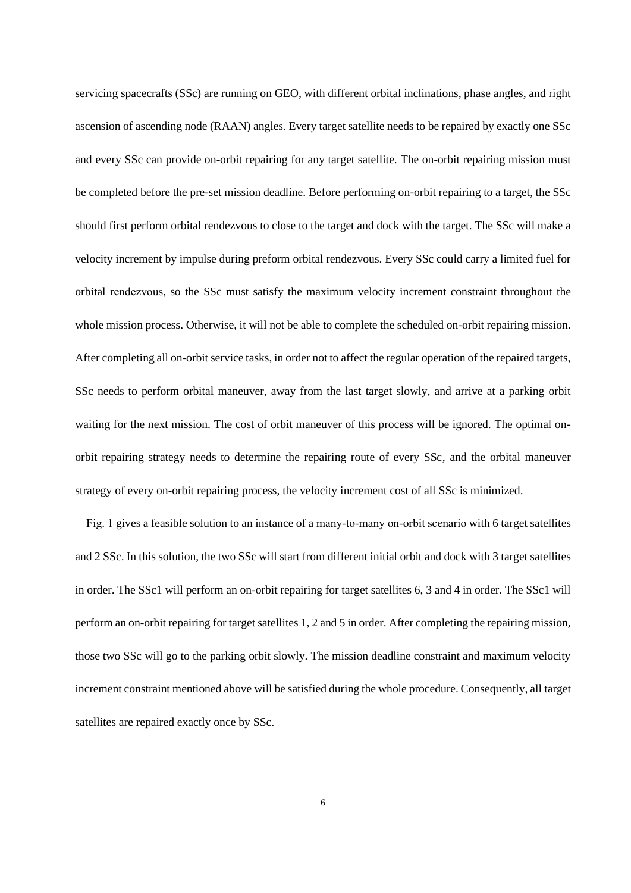servicing spacecrafts (SSc) are running on GEO, with different orbital inclinations, phase angles, and right ascension of ascending node (RAAN) angles. Every target satellite needs to be repaired by exactly one SSc and every SSc can provide on-orbit repairing for any target satellite. The on-orbit repairing mission must be completed before the pre-set mission deadline. Before performing on-orbit repairing to a target, the SSc should first perform orbital rendezvous to close to the target and dock with the target. The SSc will make a velocity increment by impulse during preform orbital rendezvous. Every SSc could carry a limited fuel for orbital rendezvous, so the SSc must satisfy the maximum velocity increment constraint throughout the whole mission process. Otherwise, it will not be able to complete the scheduled on-orbit repairing mission. After completing all on-orbit service tasks, in order not to affect the regular operation of the repaired targets, SSc needs to perform orbital maneuver, away from the last target slowly, and arrive at a parking orbit waiting for the next mission. The cost of orbit maneuver of this process will be ignored. The optimal onorbit repairing strategy needs to determine the repairing route of every SSc, and the orbital maneuver strategy of every on-orbit repairing process, the velocity increment cost of all SSc is minimized.

Fig. 1 gives a feasible solution to an instance of a many-to-many on-orbit scenario with 6 target satellites and 2 SSc. In this solution, the two SSc will start from different initial orbit and dock with 3 target satellites in order. The SSc1 will perform an on-orbit repairing for target satellites 6, 3 and 4 in order. The SSc1 will perform an on-orbit repairing for target satellites 1, 2 and 5 in order. After completing the repairing mission, those two SSc will go to the parking orbit slowly. The mission deadline constraint and maximum velocity increment constraint mentioned above will be satisfied during the whole procedure. Consequently, all target satellites are repaired exactly once by SSc.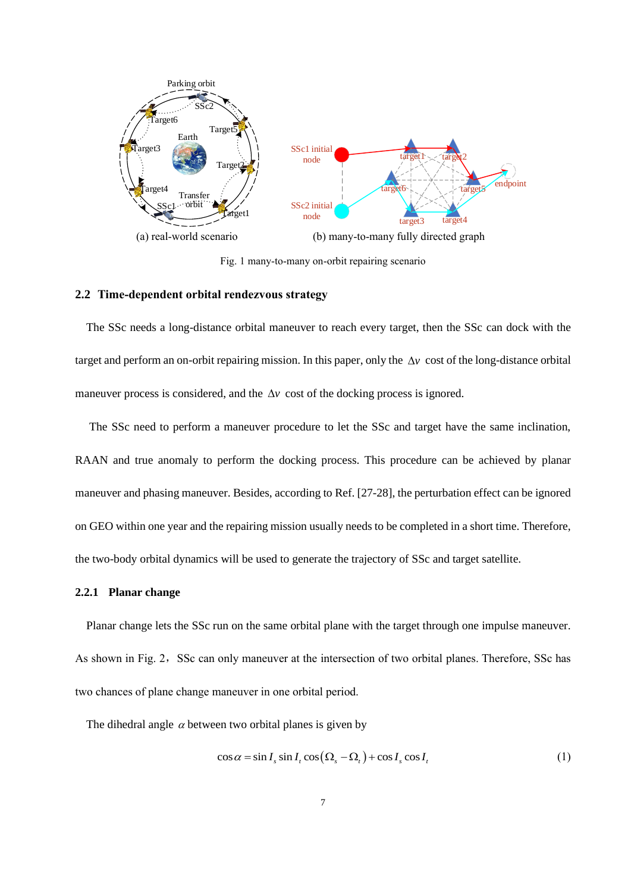

Fig. 1 many-to-many on-orbit repairing scenario

#### **2.2 Time-dependent orbital rendezvous strategy**

The SSc needs a long-distance orbital maneuver to reach every target, then the SSc can dock with the target and perform an on-orbit repairing mission. In this paper, only the  $\Delta v$  cost of the long-distance orbital maneuver process is considered, and the  $\Delta v$  cost of the docking process is ignored.

The SSc need to perform a maneuver procedure to let the SSc and target have the same inclination, RAAN and true anomaly to perform the docking process. This procedure can be achieved by planar maneuver and phasing maneuver. Besides, according to Ref. [27-28], the perturbation effect can be ignored on GEO within one year and the repairing mission usually needs to be completed in a short time. Therefore, the two-body orbital dynamics will be used to generate the trajectory of SSc and target satellite.

#### **2.2.1 Planar change**

Planar change lets the SSc run on the same orbital plane with the target through one impulse maneuver. As shown in Fig. 2, SSc can only maneuver at the intersection of two orbital planes. Therefore, SSc has two chances of plane change maneuver in one orbital period.

The dihedral angle  $\alpha$  between two orbital planes is given by

$$
\cos \alpha = \sin I_s \sin I_t \cos \left(\Omega_s - \Omega_t\right) + \cos I_s \cos I_t \tag{1}
$$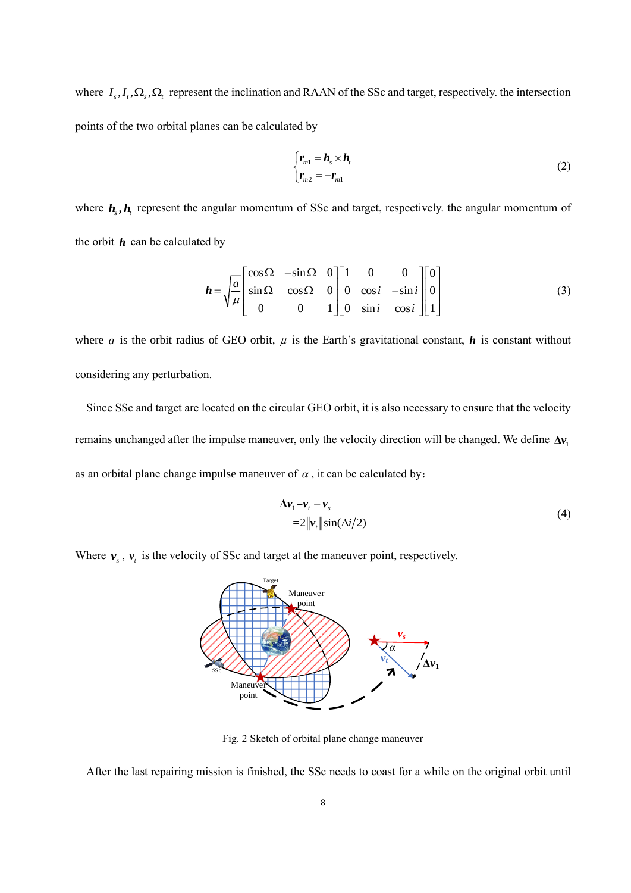where  $I_s, I_t, \Omega_s, \Omega_t$  represent the inclination and RAAN of the SSc and target, respectively. the intersection points of the two orbital planes can be calculated by

$$
\begin{cases} \mathbf{r}_{m1} = \mathbf{h}_s \times \mathbf{h}_t \\ \mathbf{r}_{m2} = -\mathbf{r}_{m1} \end{cases} \tag{2}
$$

where  $h_s$ ,  $h_t$  represent the angular momentum of SSc and target, respectively. the angular momentum of the orbit *h* can be calculated by

$$
\boldsymbol{h} = \sqrt{\frac{a}{\mu}} \begin{bmatrix} \cos \Omega & -\sin \Omega & 0 \\ \sin \Omega & \cos \Omega & 0 \\ 0 & 0 & 1 \end{bmatrix} \begin{bmatrix} 1 & 0 & 0 \\ 0 & \cos i & -\sin i \\ 0 & \sin i & \cos i \end{bmatrix} \begin{bmatrix} 0 \\ 0 \\ 1 \end{bmatrix} \tag{3}
$$

where *a* is the orbit radius of GEO orbit,  $\mu$  is the Earth's gravitational constant,  $\bm{h}$  is constant without considering any perturbation.

Since SSc and target are located on the circular GEO orbit, it is also necessary to ensure that the velocity remains unchanged after the impulse maneuver, only the velocity direction will be changed. We define  $\Delta v_1$ as an orbital plane change impulse maneuver of  $\alpha$ , it can be calculated by:

$$
\Delta \mathbf{v}_1 = \mathbf{v}_t - \mathbf{v}_s
$$
  
=2||\mathbf{v}\_t||\sin(\Delta i/2) (4)

Where  $v_s$ ,  $v_t$  is the velocity of SSc and target at the maneuver point, respectively.



Fig. 2 Sketch of orbital plane change maneuver

After the last repairing mission is finished, the SSc needs to coast for a while on the original orbit until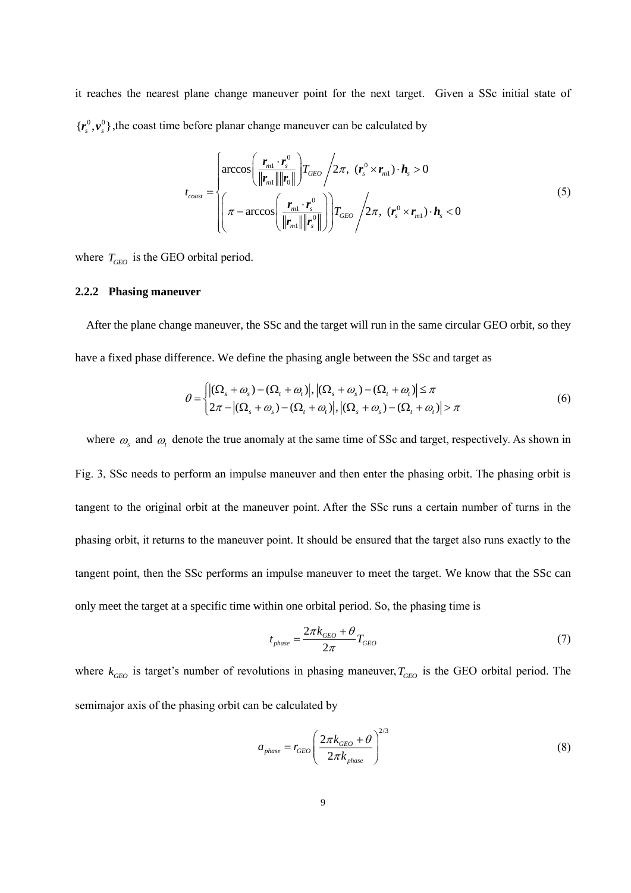it reaches the nearest plane change maneuver point for the next target. Given a SSc initial state of  $\{{\bm r}_s^0,{\bm v}_s^0\}$ , the coast time before planar change maneuver can be calculated by

$$
t_{\text{coast}} = \begin{cases} \arccos\left(\frac{\boldsymbol{r}_{m1} \cdot \boldsymbol{r}_s^0}{\|\boldsymbol{r}_{m1}\| \|\boldsymbol{r}_0\|}\right) T_{\text{GEO}} \Big/ 2\pi, & (\boldsymbol{r}_s^0 \times \boldsymbol{r}_{m1}) \cdot \boldsymbol{h}_s > 0 \\ \pi - \arccos\left(\frac{\boldsymbol{r}_{m1} \cdot \boldsymbol{r}_s^0}{\|\boldsymbol{r}_{m1}\| \|\boldsymbol{r}_s^0\|}\right) T_{\text{GEO}} \Big/ 2\pi, & (\boldsymbol{r}_s^0 \times \boldsymbol{r}_{m1}) \cdot \boldsymbol{h}_s < 0 \end{cases} \tag{5}
$$

where  $T_{GEO}$  is the GEO orbital period.

#### **2.2.2 Phasing maneuver**

After the plane change maneuver, the SSc and the target will run in the same circular GEO orbit, so they have a fixed phase difference. We define the phasing angle between the SSc and target as

$$
\theta = \begin{cases} \left| (\Omega_s + \omega_s) - (\Omega_t + \omega_t) \right|, \left| (\Omega_s + \omega_s) - (\Omega_t + \omega_t) \right| \le \pi \\ 2\pi - \left| (\Omega_s + \omega_s) - (\Omega_t + \omega_t) \right|, \left| (\Omega_s + \omega_s) - (\Omega_t + \omega_t) \right| > \pi \end{cases} \tag{6}
$$

where  $\omega_s$  and  $\omega_t$  denote the true anomaly at the same time of SSc and target, respectively. As shown in Fig. 3, SSc needs to perform an impulse maneuver and then enter the phasing orbit. The phasing orbit is tangent to the original orbit at the maneuver point. After the SSc runs a certain number of turns in the phasing orbit, it returns to the maneuver point. It should be ensured that the target also runs exactly to the tangent point, then the SSc performs an impulse maneuver to meet the target. We know that the SSc can only meet the target at a specific time within one orbital period. So, the phasing time is

$$
t_{phase} = \frac{2\pi k_{GEO} + \theta}{2\pi} T_{GEO} \tag{7}
$$

where  $k_{GEO}$  is target's number of revolutions in phasing maneuver,  $T_{GEO}$  is the GEO orbital period. The semimajor axis of the phasing orbit can be calculated by

$$
a_{\text{phase}} = r_{\text{GEO}} \left( \frac{2\pi k_{\text{GEO}} + \theta}{2\pi k_{\text{phase}}} \right)^{2/3} \tag{8}
$$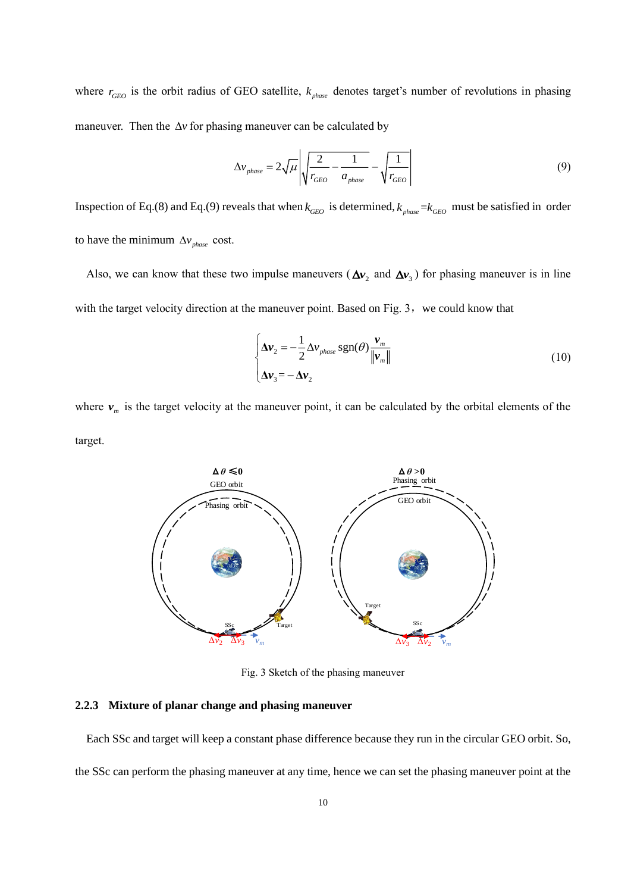where  $r_{GEO}$  is the orbit radius of GEO satellite,  $k_{phase}$  denotes target's number of revolutions in phasing maneuver. Then the  $\Delta v$  for phasing maneuver can be calculated by

$$
\Delta v_{phase} = 2\sqrt{\mu} \left| \sqrt{\frac{2}{r_{GEO}} - \frac{1}{a_{phase}}} - \sqrt{\frac{1}{r_{GEO}}} \right| \tag{9}
$$

Inspection of Eq.(8) and Eq.(9) reveals that when  $k_{GEO}$  is determined,  $k_{phase} = k_{GEO}$  must be satisfied in order to have the minimum  $\Delta v_{phase}$  cost.

Also, we can know that these two impulse maneuvers ( $\Delta v_2$  and  $\Delta v_3$ ) for phasing maneuver is in line with the target velocity direction at the maneuver point. Based on Fig. 3, we could know that

$$
\begin{cases}\n\Delta \mathbf{v}_2 = -\frac{1}{2} \Delta \mathbf{v}_{phase} \operatorname{sgn}(\theta) \frac{\mathbf{v}_m}{\|\mathbf{v}_m\|} \\
\Delta \mathbf{v}_3 = -\Delta \mathbf{v}_2\n\end{cases}
$$
\n(10)

where  $v_m$  is the target velocity at the maneuver point, it can be calculated by the orbital elements of the target.



Fig. 3 Sketch of the phasing maneuver

#### **2.2.3 Mixture of planar change and phasing maneuver**

Each SSc and target will keep a constant phase difference because they run in the circular GEO orbit. So, the SSc can perform the phasing maneuver at any time, hence we can set the phasing maneuver point at the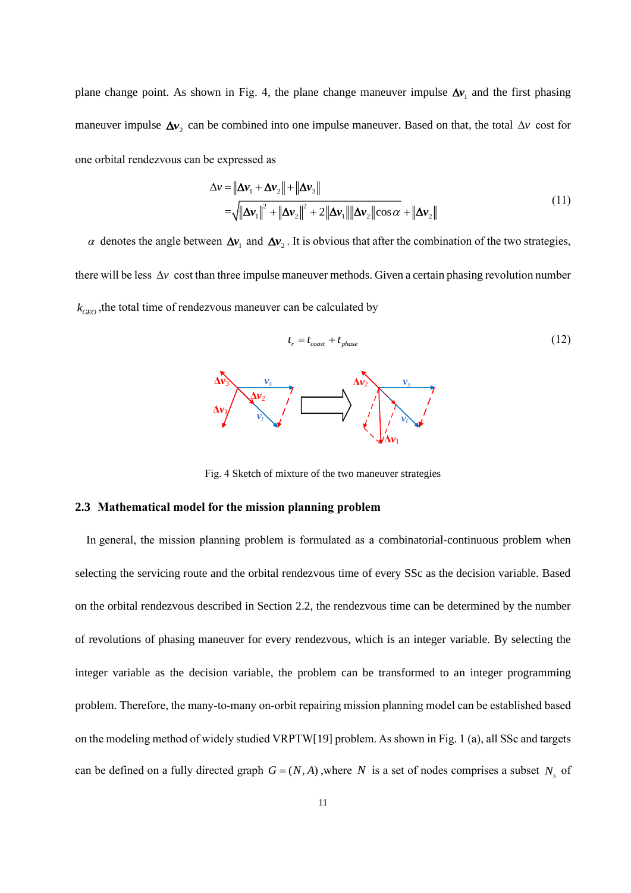plane change point. As shown in Fig. 4, the plane change maneuver impulse  $\Delta v_1$  and the first phasing maneuver impulse  $\Delta v_2$  can be combined into one impulse maneuver. Based on that, the total  $\Delta v$  cost for one orbital rendezvous can be expressed as

$$
\Delta v = \|\Delta v_1 + \Delta v_2\| + \|\Delta v_3\|
$$
  
= $\sqrt{\|\Delta v_1\|^2 + \|\Delta v_2\|^2 + 2\|\Delta v_1\| \|\Delta v_2\|\cos \alpha} + \|\Delta v_2\|$  (11)

 $\alpha$  denotes the angle between  $\Delta v_1$  and  $\Delta v_2$ . It is obvious that after the combination of the two strategies, there will be less  $\Delta v$  cost than three impulse maneuver methods. Given a certain phasing revolution number  $k_{\scriptscriptstyle GEO}^{\scriptscriptstyle -}$  ,the total time of rendezvous maneuver can be calculated by

$$
t_r = t_{const} + t_{phase}
$$
\n
$$
\Delta v_3
$$
\n
$$
\Delta v_2
$$
\n
$$
\Delta v_3
$$
\n
$$
\Delta v_2
$$
\n(12)



Fig. 4 Sketch of mixture of the two maneuver strategies

#### **2.3 Mathematical model for the mission planning problem**

 $\Delta$ *v*<sub>1</sub>

In general, the mission planning problem is formulated as a combinatorial-continuous problem when selecting the servicing route and the orbital rendezvous time of every SSc as the decision variable. Based on the orbital rendezvous described in Section 2.2, the rendezvous time can be determined by the number of revolutions of phasing maneuver for every rendezvous, which is an integer variable. By selecting the integer variable as the decision variable, the problem can be transformed to an integer programming problem. Therefore, the many-to-many on-orbit repairing mission planning model can be established based on the modeling method of widely studied VRPTW[19] problem. As shown in Fig. 1 (a), all SSc and targets can be defined on a fully directed graph  $G = (N, A)$ , where N is a set of nodes comprises a subset  $N<sub>s</sub>$  of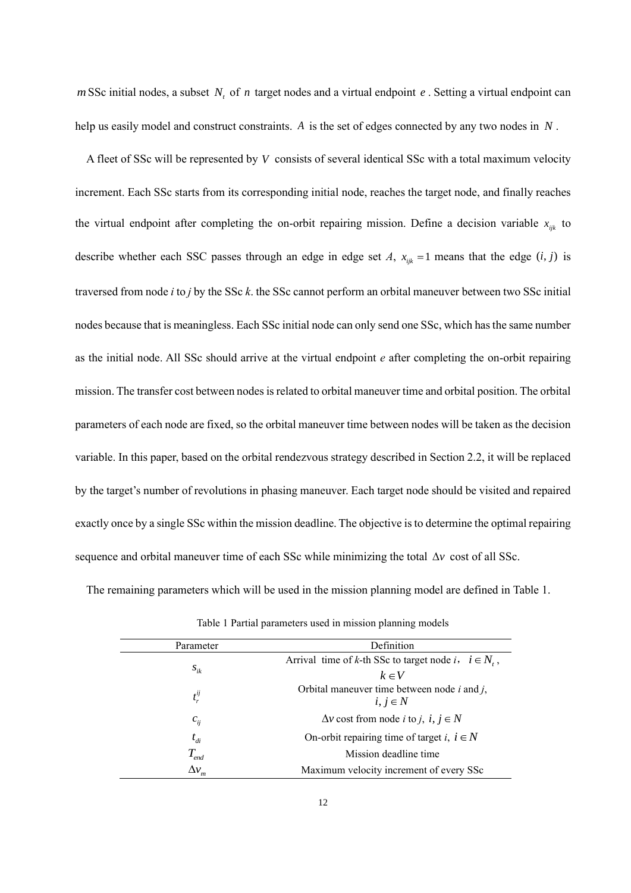*m* SSc initial nodes, a subset  $N_t$  of *n* target nodes and a virtual endpoint *e*. Setting a virtual endpoint can help us easily model and construct constraints. *A* is the set of edges connected by any two nodes in *<sup>N</sup>* .

A fleet of SSc will be represented by *V* consists of several identical SSc with a total maximum velocity increment. Each SSc starts from its corresponding initial node, reaches the target node, and finally reaches the virtual endpoint after completing the on-orbit repairing mission. Define a decision variable  $x_{ijk}$  to describe whether each SSC passes through an edge in edge set *A*,  $x_{ijk} = 1$  means that the edge  $(i, j)$  is traversed from node *i* to *j* by the SSc *k*. the SSc cannot perform an orbital maneuver between two SSc initial nodes because that is meaningless. Each SSc initial node can only send one SSc, which has the same number as the initial node. All SSc should arrive at the virtual endpoint *e* after completing the on-orbit repairing mission. The transfer cost between nodes is related to orbital maneuver time and orbital position. The orbital parameters of each node are fixed, so the orbital maneuver time between nodes will be taken as the decision variable. In this paper, based on the orbital rendezvous strategy described in Section 2.2, it will be replaced by the target's number of revolutions in phasing maneuver. Each target node should be visited and repaired exactly once by a single SSc within the mission deadline. The objective is to determine the optimal repairing sequence and orbital maneuver time of each SSc while minimizing the total  $\Delta v$  cost of all SSc.

The remaining parameters which will be used in the mission planning model are defined in Table 1.

| Parameter                    | <b>Definition</b>                                                                   |
|------------------------------|-------------------------------------------------------------------------------------|
|                              | Arrival time of k-th SSc to target node i, $i \in N$ ,                              |
| $S_{ik}$                     | $k \in V$                                                                           |
| $t_r^{ij}$                   | Orbital maneuver time between node $i$ and $j$ ,<br>$i, j \in N$                    |
| $c_{ij}$                     | $\Delta v$ cost from node <i>i</i> to <i>j</i> , <i>i</i> , <i>j</i> $\in$ <i>N</i> |
| $t_{di}$                     | On-orbit repairing time of target i, $i \in N$                                      |
| $T_{\scriptscriptstyle end}$ | Mission deadline time                                                               |
| $\Delta v_m$                 | Maximum velocity increment of every SSc                                             |

Table 1 Partial parameters used in mission planning models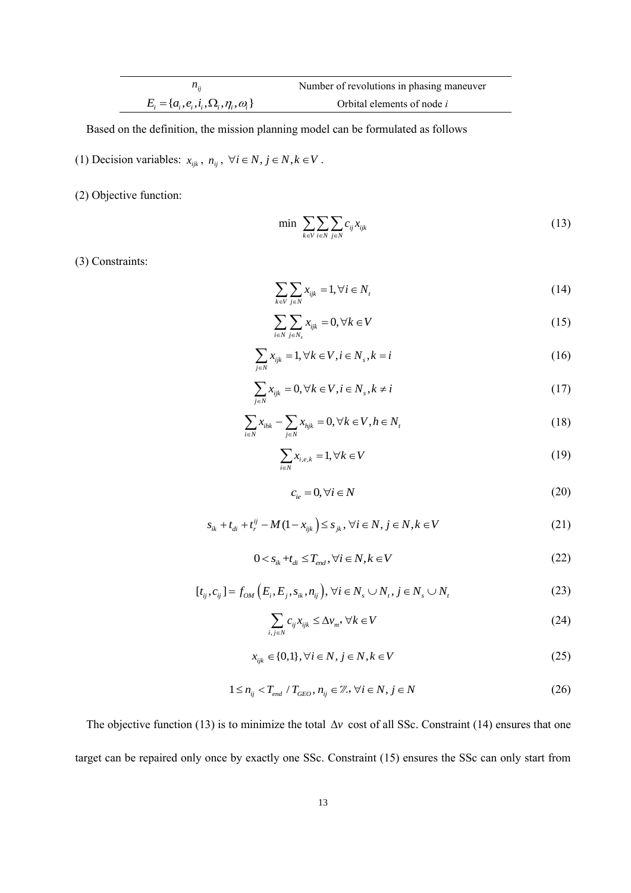|                                                       | Number of revolutions in phasing maneuver |
|-------------------------------------------------------|-------------------------------------------|
| $E_i = \{a_i, e_i, i_i, \Omega_i, \eta_i, \omega_i\}$ | Orbital elements of node <i>i</i>         |

Based on the definition, the mission planning model can be formulated as follows

- (1) Decision variables:  $x_{ijk}$ ,  $n_{ij}$ ,  $\forall i \in \mathbb{N}, j \in \mathbb{N}, k \in V$ .
- (2) Objective function:

 $\overline{a}$ 

$$
\min \sum_{k \in V} \sum_{i \in N} \sum_{j \in N} c_{ij} x_{ijk} \tag{13}
$$

(3) Constraints:

$$
\sum_{k \in V} \sum_{j \in N} x_{ijk} = 1, \forall i \in N_t
$$
\n(14)

$$
\sum_{i \in N} \sum_{j \in N_s} x_{ijk} = 0, \forall k \in V \tag{15}
$$

$$
\sum_{j \in N} x_{ijk} = 1, \forall k \in V, i \in N_s, k = i \tag{16}
$$

$$
\sum_{j \in N} x_{ijk} = 0, \forall k \in V, i \in N_s, k \neq i \tag{17}
$$

$$
\sum_{i \in N} x_{ihk} - \sum_{j \in N} x_{hjk} = 0, \forall k \in V, h \in N_t
$$
\n
$$
(18)
$$

$$
\sum_{i \in N} x_{i,e,k} = 1, \forall k \in V \tag{19}
$$

$$
c_{ie} = 0, \forall i \in N \tag{20}
$$

$$
s_{ik} + t_{di} + t_i^{ij} - M(1 - x_{ijk}) \le s_{jk}, \forall i \in N, j \in N, k \in V
$$
 (21)

$$
0 < s_{ik} + t_{di} \le T_{end}, \forall i \in N, k \in V \tag{22}
$$

$$
[t_{ij}, c_{ij}] = f_{OM}(E_i, E_j, s_{ik}, n_{ij}), \forall i \in N_s \cup N_t, j \in N_s \cup N_t
$$
 (23)

$$
\sum_{i,j\in N} c_{ij} x_{ijk} \le \Delta v_m, \forall k \in V
$$
\n(24)

$$
x_{ijk} \in \{0,1\}, \forall i \in N, j \in N, k \in V \tag{25}
$$

$$
1 \le n_{ij} < T_{end} \mid T_{GEO}, n_{ij} \in \mathbb{Z}, \forall i \in N, j \in N \tag{26}
$$

The objective function (13) is to minimize the total  $\Delta v$  cost of all SSc. Constraint (14) ensures that one target can be repaired only once by exactly one SSc. Constraint (15) ensures the SSc can only start from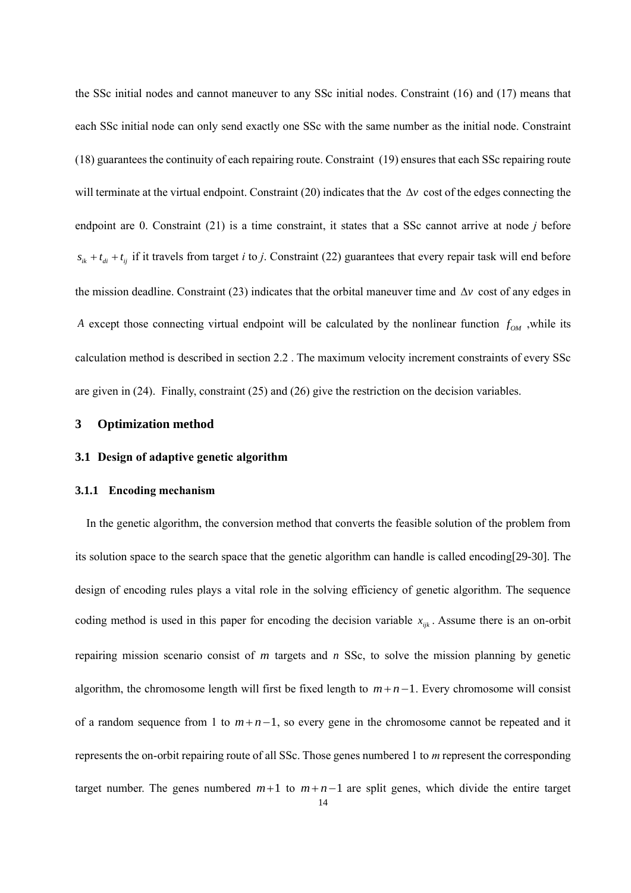the SSc initial nodes and cannot maneuver to any SSc initial nodes. Constraint (16) and (17) means that each SSc initial node can only send exactly one SSc with the same number as the initial node. Constraint (18) guarantees the continuity of each repairing route. Constraint (19) ensures that each SSc repairing route will terminate at the virtual endpoint. Constraint (20) indicates that the  $\Delta v$  cost of the edges connecting the endpoint are 0. Constraint (21) is a time constraint, it states that a SSc cannot arrive at node *j* before  $s_{ik} + t_{di} + t_{ij}$  if it travels from target *i* to *j*. Constraint (22) guarantees that every repair task will end before the mission deadline. Constraint  $(23)$  indicates that the orbital maneuver time and  $\Delta v$  cost of any edges in *A* except those connecting virtual endpoint will be calculated by the nonlinear function  $f_{OM}$ , while its calculation method is described in section 2.2 . The maximum velocity increment constraints of every SSc are given in (24). Finally, constraint (25) and (26) give the restriction on the decision variables.

# **3 Optimization method**

# **3.1 Design of adaptive genetic algorithm**

#### **3.1.1 Encoding mechanism**

In the genetic algorithm, the conversion method that converts the feasible solution of the problem from its solution space to the search space that the genetic algorithm can handle is called encoding[29-30]. The design of encoding rules plays a vital role in the solving efficiency of genetic algorithm. The sequence coding method is used in this paper for encoding the decision variable  $x_{ijk}$ . Assume there is an on-orbit repairing mission scenario consist of *<sup>m</sup>* targets and *<sup>n</sup>* SSc, to solve the mission planning by genetic algorithm, the chromosome length will first be fixed length to  $m + n - 1$ . Every chromosome will consist of a random sequence from 1 to  $m+n-1$ , so every gene in the chromosome cannot be repeated and it represents the on-orbit repairing route of all SSc. Those genes numbered 1 to *m* represent the corresponding target number. The genes numbered  $m+1$  to  $m+n-1$  are split genes, which divide the entire target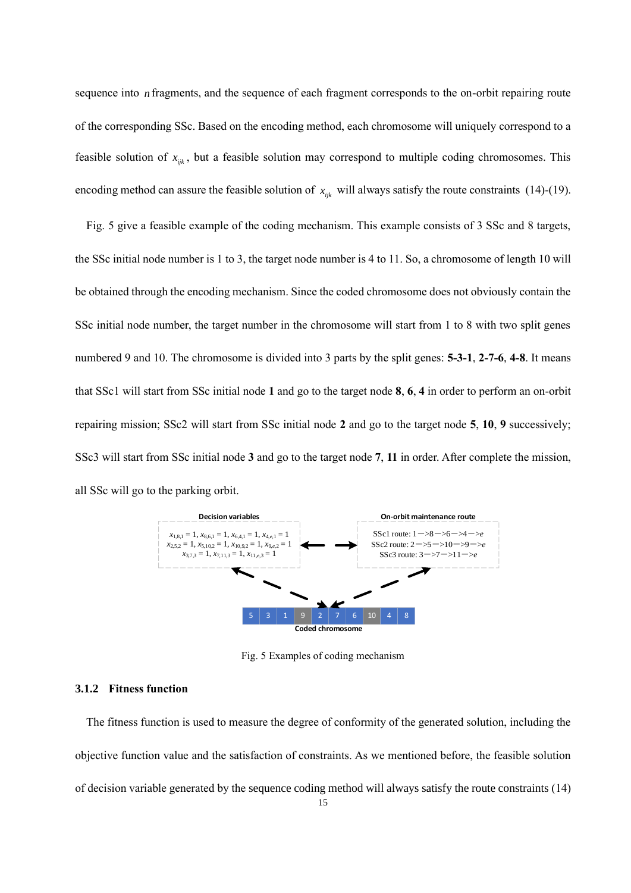sequence into *n* fragments, and the sequence of each fragment corresponds to the on-orbit repairing route of the corresponding SSc. Based on the encoding method, each chromosome will uniquely correspond to a feasible solution of  $x_{ijk}$ , but a feasible solution may correspond to multiple coding chromosomes. This encoding method can assure the feasible solution of  $x_{ijk}$  will always satisfy the route constraints (14)-(19).

Fig. 5 give a feasible example of the coding mechanism. This example consists of 3 SSc and 8 targets, the SSc initial node number is 1 to 3, the target node number is 4 to 11. So, a chromosome of length 10 will be obtained through the encoding mechanism. Since the coded chromosome does not obviously contain the SSc initial node number, the target number in the chromosome will start from 1 to 8 with two split genes numbered 9 and 10. The chromosome is divided into 3 parts by the split genes: **5-3-1**, **2-7-6**, **4-8**. It means that SSc1 will start from SSc initial node **1** and go to the target node **8**, **6**, **4** in order to perform an on-orbit repairing mission; SSc2 will start from SSc initial node **2** and go to the target node **5**, **10**, **9** successively; SSc3 will start from SSc initial node **3** and go to the target node **7**, **11** in order. After complete the mission, all SSc will go to the parking orbit.



Fig. 5 Examples of coding mechanism

#### **3.1.2 Fitness function**

The fitness function is used to measure the degree of conformity of the generated solution, including the objective function value and the satisfaction of constraints. As we mentioned before, the feasible solution of decision variable generated by the sequence coding method will always satisfy the route constraints (14)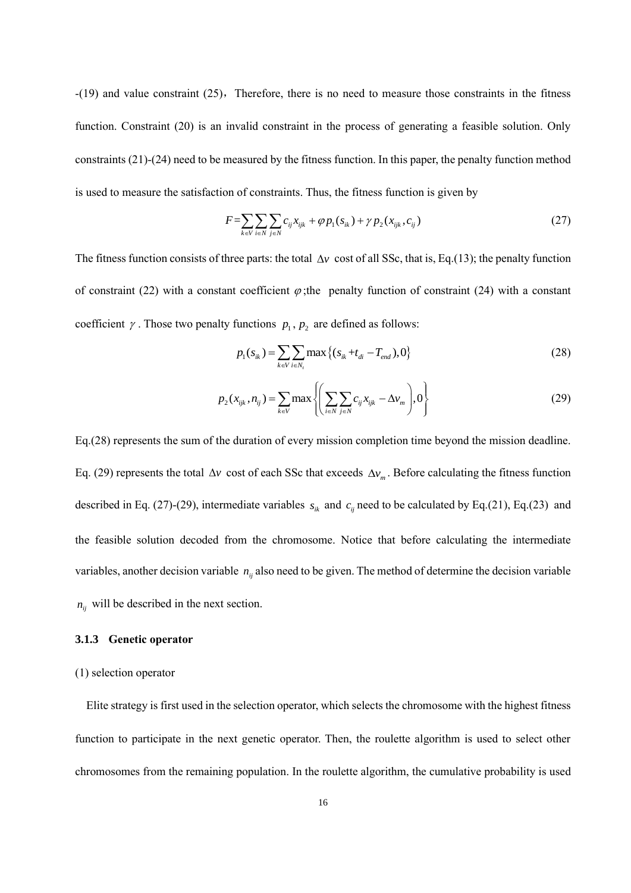$-(19)$  and value constraint  $(25)$ , Therefore, there is no need to measure those constraints in the fitness function. Constraint (20) is an invalid constraint in the process of generating a feasible solution. Only constraints (21)-(24) need to be measured by the fitness function. In this paper, the penalty function method is used to measure the satisfaction of constraints. Thus, the fitness function is given by

$$
F = \sum_{k \in V} \sum_{i \in N} \sum_{j \in N} c_{ij} x_{ijk} + \varphi p_1(s_{ik}) + \gamma p_2(x_{ijk}, c_{ij})
$$
\n(27)

The fitness function consists of three parts: the total  $\Delta v$  cost of all SSc, that is, Eq.(13); the penalty function of constraint (22) with a constant coefficient  $\varphi$ ; the penalty function of constraint (24) with a constant coefficient  $\gamma$ . Those two penalty functions  $p_1, p_2$  are defined as follows:

$$
p_1(s_{ik}) = \sum_{k \in V} \sum_{i \in N_i} \max \left\{ (s_{ik} + t_{di} - T_{end}), 0 \right\}
$$
 (28)

$$
p_2(x_{ijk}, n_{ij}) = \sum_{k \in V} \max \left\{ \left( \sum_{i \in N} \sum_{j \in N} c_{ij} x_{ijk} - \Delta v_m \right), 0 \right\}
$$
 (29)

Eq.(28) represents the sum of the duration of every mission completion time beyond the mission deadline. Eq. (29) represents the total  $\Delta v$  cost of each SSc that exceeds  $\Delta v_m$ . Before calculating the fitness function described in Eq. (27)-(29), intermediate variables  $s_{ik}$  and  $c_{ij}$  need to be calculated by Eq.(21), Eq.(23) and the feasible solution decoded from the chromosome. Notice that before calculating the intermediate variables, another decision variable  $n_{ij}$  also need to be given. The method of determine the decision variable  $n_{ij}$  will be described in the next section.

#### **3.1.3 Genetic operator**

#### (1) selection operator

Elite strategy is first used in the selection operator, which selects the chromosome with the highest fitness function to participate in the next genetic operator. Then, the roulette algorithm is used to select other chromosomes from the remaining population. In the roulette algorithm, the cumulative probability is used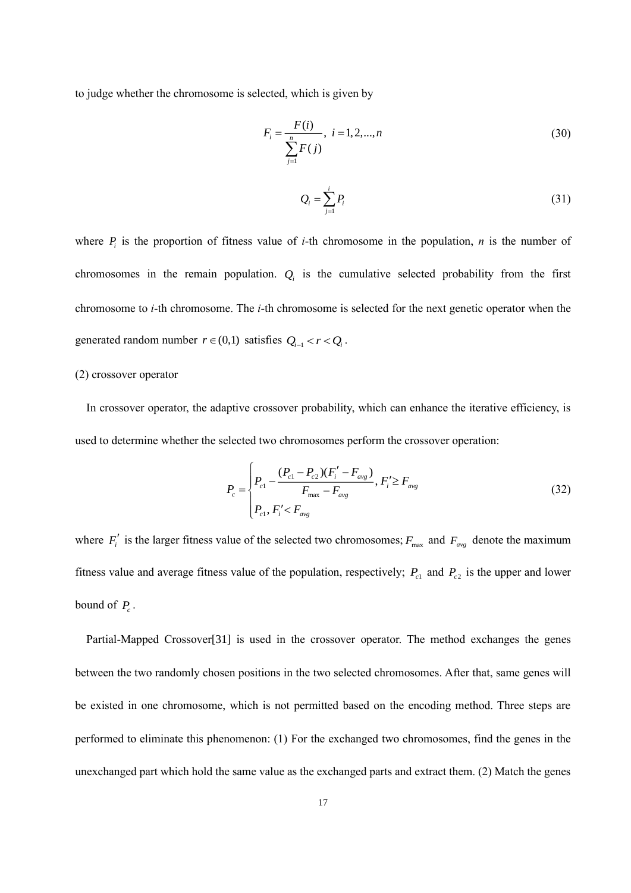to judge whether the chromosome is selected, which is given by

$$
F_i = \frac{F(i)}{\sum_{j=1}^{n} F(j)}, \quad i = 1, 2, \dots, n
$$
\n(30)

$$
Q_i = \sum_{j=1}^i P_i \tag{31}
$$

where  $P_i$  is the proportion of fitness value of *i*-th chromosome in the population, *n* is the number of chromosomes in the remain population.  $Q_i$  is the cumulative selected probability from the first chromosome to *i*-th chromosome. The *i*-th chromosome is selected for the next genetic operator when the generated random number  $r \in (0,1)$  satisfies  $Q_{i-1} < r < Q_i$ .

#### (2) crossover operator

In crossover operator, the adaptive crossover probability, which can enhance the iterative efficiency, is used to determine whether the selected two chromosomes perform the crossover operation:

$$
P_c = \begin{cases} P_{c1} - \frac{(P_{c1} - P_{c2})(F_i' - F_{avg})}{F_{max} - F_{avg}}, & F_i' \ge F_{avg} \\ P_{c1}, & F_i' < F_{avg} \end{cases} \tag{32}
$$

where  $F_i'$  is the larger fitness value of the selected two chromosomes;  $F_{\text{max}}$  and  $F_{\text{avg}}$  denote the maximum fitness value and average fitness value of the population, respectively;  $P_{c1}$  and  $P_{c2}$  is the upper and lower bound of  $P_c$ .

Partial-Mapped Crossover[31] is used in the crossover operator. The method exchanges the genes between the two randomly chosen positions in the two selected chromosomes. After that, same genes will be existed in one chromosome, which is not permitted based on the encoding method. Three steps are performed to eliminate this phenomenon: (1) For the exchanged two chromosomes, find the genes in the unexchanged part which hold the same value as the exchanged parts and extract them. (2) Match the genes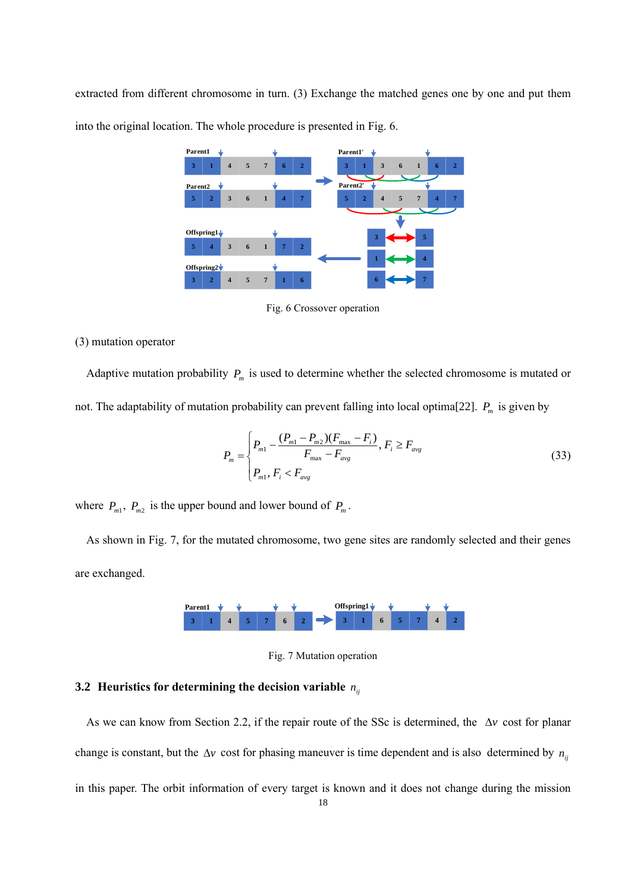extracted from different chromosome in turn. (3) Exchange the matched genes one by one and put them into the original location. The whole procedure is presented in Fig. 6.



Fig. 6 Crossover operation

#### (3) mutation operator

Adaptive mutation probability  $P_m$  is used to determine whether the selected chromosome is mutated or not. The adaptability of mutation probability can prevent falling into local optima[22]. *<sup>P</sup><sup>m</sup>* is given by

$$
P_m = \begin{cases} P_{m1} - \frac{(P_{m1} - P_{m2})(F_{\text{max}} - F_i)}{F_{\text{max}} - F_{\text{avg}}}, & F_i \ge F_{\text{avg}} \\ P_{m1}, & F_i < F_{\text{avg}} \end{cases} \tag{33}
$$

where  $P_{m1}$ ,  $P_{m2}$  is the upper bound and lower bound of  $P_m$ .

As shown in Fig. 7, for the mutated chromosome, two gene sites are randomly selected and their genes are exchanged.



Fig. 7 Mutation operation

# **3.2** Heuristics for determining the decision variable  $n_{ij}$

As we can know from Section 2.2, if the repair route of the SSc is determined, the  $\Delta v$  cost for planar change is constant, but the  $\Delta v$  cost for phasing maneuver is time dependent and is also determined by  $n_{ij}$ in this paper. The orbit information of every target is known and it does not change during the mission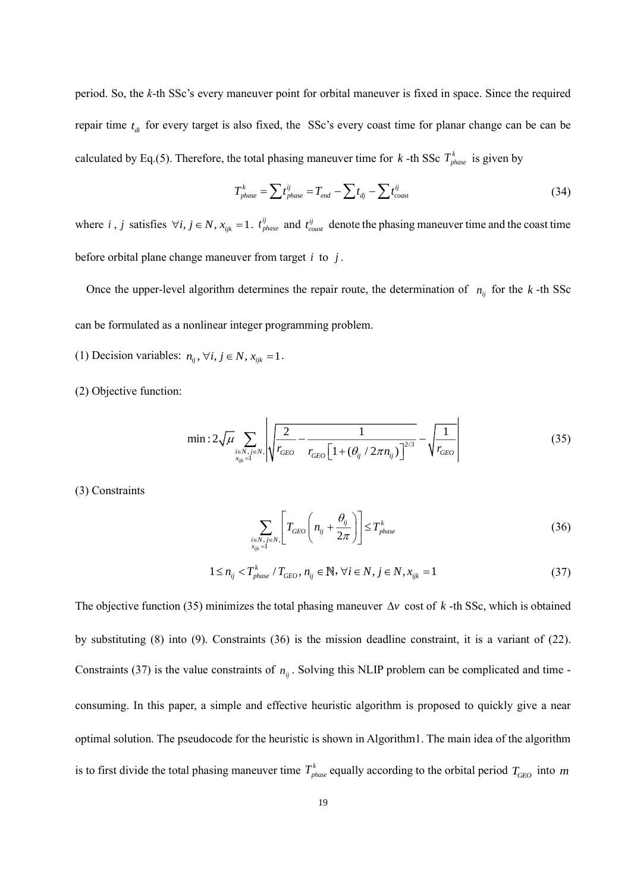period. So, the *k*-th SSc's every maneuver point for orbital maneuver is fixed in space. Since the required repair time  $t_{di}$  for every target is also fixed, the SSc's every coast time for planar change can be can be calculated by Eq.(5). Therefore, the total phasing maneuver time for k -th SSc  $T^k_{phase}$  is given by

$$
T_{phase}^k = \sum t_{phase}^{ij} = T_{end} - \sum t_{dj} - \sum t_{cosst}^{ij}
$$
 (34)

where *i*, *j* satisfies  $\forall i, j \in N$ ,  $x_{ijk} = 1$ .  $t_{phase}^{ij}$  and  $t_{coast}^{ij}$  denote the phasing maneuver time and the coast time before orbital plane change maneuver from target *i* to *j* .

Once the upper-level algorithm determines the repair route, the determination of  $n_{ij}$  for the  $k$ -th SSc can be formulated as a nonlinear integer programming problem.

- (1) Decision variables:  $n_{ij}$ ,  $\forall i, j \in N$ ,  $x_{ijk} = 1$ .
- (2) Objective function:

$$
\min: 2\sqrt{\mu} \sum_{\substack{i \in N, j \in N, \\ x_{ijk} = 1}} \left| \sqrt{\frac{2}{r_{GEO}} - \frac{1}{r_{GEO}\left[1 + (\theta_{ij} / 2\pi n_{ij})\right]^{2/3}}} - \sqrt{\frac{1}{r_{GEO}}}\right| \tag{35}
$$

(3) Constraints

$$
\sum_{\substack{i \in N, j \in N, \\ x_{ijk} = 1}} \left[ T_{GEO} \left( n_{ij} + \frac{\theta_{ij}}{2\pi} \right) \right] \le T_{phase}^k \tag{36}
$$

$$
1 \le n_{ij} < T_{phase}^k \, / \, T_{GEO}, \, n_{ij} \in \mathbb{N}, \, \forall i \in N, \, j \in N, \, x_{ijk} = 1 \tag{37}
$$

The objective function (35) minimizes the total phasing maneuver  $\Delta v$  cost of  $k$ -th SSc, which is obtained by substituting (8) into (9). Constraints (36) is the mission deadline constraint, it is a variant of (22). Constraints (37) is the value constraints of  $n_{ij}$ . Solving this NLIP problem can be complicated and time consuming. In this paper, a simple and effective heuristic algorithm is proposed to quickly give a near optimal solution. The pseudocode for the heuristic is shown in Algorithm1. The main idea of the algorithm is to first divide the total phasing maneuver time  $T^k_{phase}$  equally according to the orbital period  $T_{GEO}$  into  $m$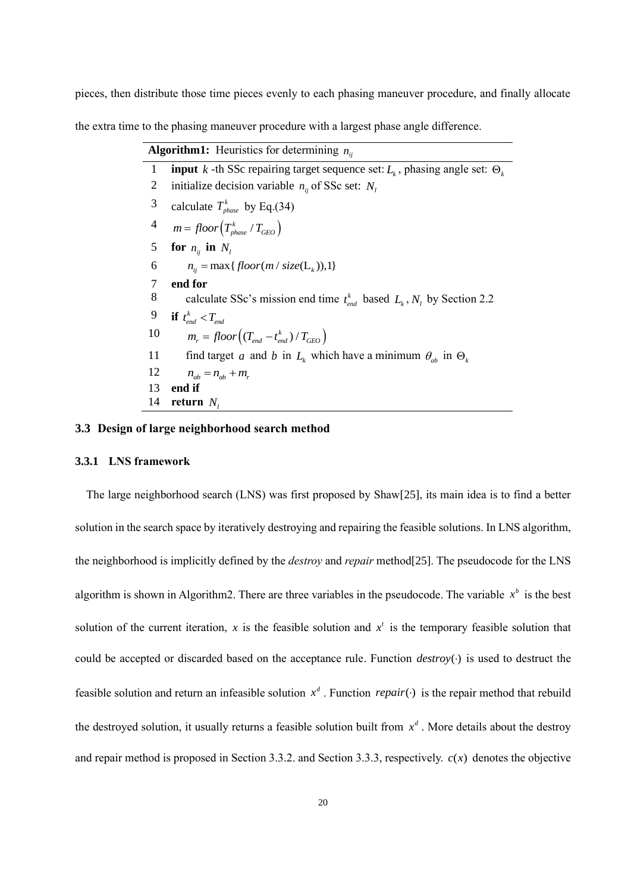pieces, then distribute those time pieces evenly to each phasing maneuver procedure, and finally allocate

the extra time to the phasing maneuver procedure with a largest phase angle difference.

|                | <b>Algorithm1:</b> Heuristics for determining $n_{ii}$                                      |
|----------------|---------------------------------------------------------------------------------------------|
| $\mathbf{1}$   | <b>input</b> k -th SSc repairing target sequence set: $L_k$ , phasing angle set: $\Theta_k$ |
| 2              | initialize decision variable $n_{ii}$ of SSc set: $N_i$                                     |
| 3              | calculate $T_{phase}^k$ by Eq.(34)                                                          |
| $\overline{4}$ | $m = floor\left(T^k_{phase}/T_{GEO}\right)$                                                 |
| 5              | for $n_{ii}$ in $N_i$                                                                       |
| 6              | $n_{ii} = \max\{floor(m / size(L_k)), 1\}$                                                  |
| 7              | end for                                                                                     |
| 8              | calculate SSc's mission end time $t_{end}^k$ based $L_k$ , $N_l$ by Section 2.2             |
| 9              | if $t_{end}^k < T_{end}$                                                                    |
| 10             | $m_r = floor((T_{end} - t_{end}^k)/T_{GEO})$                                                |
| 11             | find target a and b in $L_k$ which have a minimum $\theta_{ab}$ in $\Theta_k$               |
| 12             | $n_{ab} = n_{ab} + m_r$                                                                     |
| 13             | end if                                                                                      |
| 14             | return $N_i$                                                                                |

# **3.3 Design of large neighborhood search method**

#### **3.3.1 LNS framework**

The large neighborhood search (LNS) was first proposed by Shaw[25], its main idea is to find a better solution in the search space by iteratively destroying and repairing the feasible solutions. In LNS algorithm, the neighborhood is implicitly defined by the *destroy* and *repair* method[25]. The pseudocode for the LNS algorithm is shown in Algorithm2. There are three variables in the pseudocode. The variable  $x^b$  is the best solution of the current iteration, x is the feasible solution and  $x<sup>t</sup>$  is the temporary feasible solution that could be accepted or discarded based on the acceptance rule. Function *destroy*() is used to destruct the feasible solution and return an infeasible solution  $x^d$ . Function *repair*( $\cdot$ ) is the repair method that rebuild the destroyed solution, it usually returns a feasible solution built from  $x<sup>d</sup>$ . More details about the destroy and repair method is proposed in Section 3.3.2. and Section 3.3.3, respectively.  $c(x)$  denotes the objective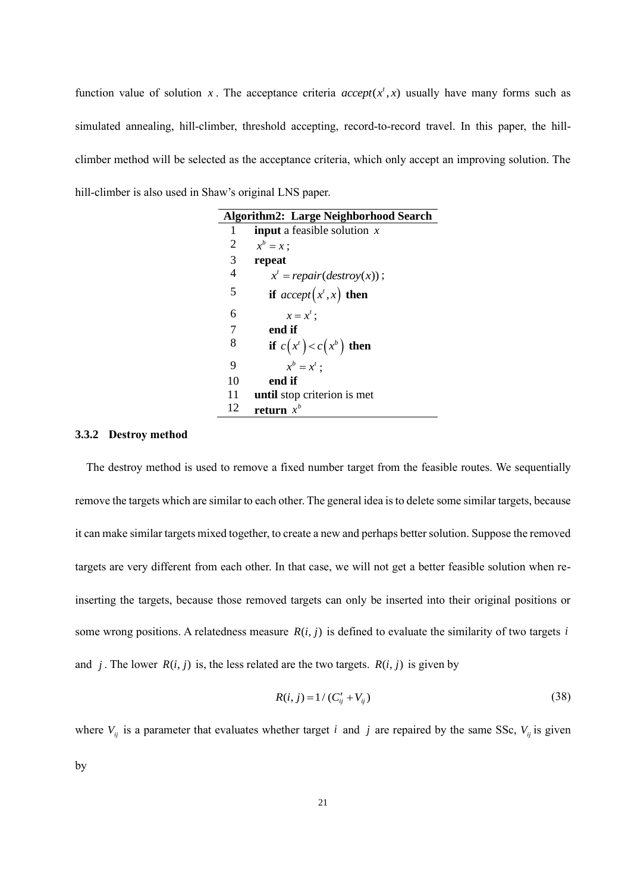function value of solution x. The acceptance criteria  $accept(x^t, x)$  usually have many forms such as simulated annealing, hill-climber, threshold accepting, record-to-record travel. In this paper, the hillclimber method will be selected as the acceptance criteria, which only accept an improving solution. The hill-climber is also used in Shaw's original LNS paper.

|    | <b>Algorithm2: Large Neighborhood Search</b> |
|----|----------------------------------------------|
| 1  | <b>input</b> a feasible solution $x$         |
| 2  | $x^b = x$ :                                  |
| 3  | repeat                                       |
| 4  | $x' = repair(destrov(x))$ ;                  |
| 5  | if $accept(x^t, x)$ then                     |
| 6  | $x = x^t$ :                                  |
| 7  | end if                                       |
| 8  | if $c(x^t) < c(x^b)$ then                    |
| 9  | $x^b = x^t$ :                                |
| 10 | end if                                       |
| 11 | until stop criterion is met                  |
| 12 | return $x^b$                                 |

#### **3.3.2 Destroy method**

The destroy method is used to remove a fixed number target from the feasible routes. We sequentially remove the targets which are similar to each other. The general idea is to delete some similar targets, because it can make similar targets mixed together, to create a new and perhaps better solution. Suppose the removed targets are very different from each other. In that case, we will not get a better feasible solution when reinserting the targets, because those removed targets can only be inserted into their original positions or some wrong positions. A relatedness measure  $R(i, j)$  is defined to evaluate the similarity of two targets *i* and *j*. The lower  $R(i, j)$  is, the less related are the two targets.  $R(i, j)$  is given by

$$
R(i, j) = 1 / (C'_{ij} + V_{ij})
$$
\n(38)

where  $V_{ij}$  is a parameter that evaluates whether target *i* and *j* are repaired by the same SSc,  $V_{ij}$  is given by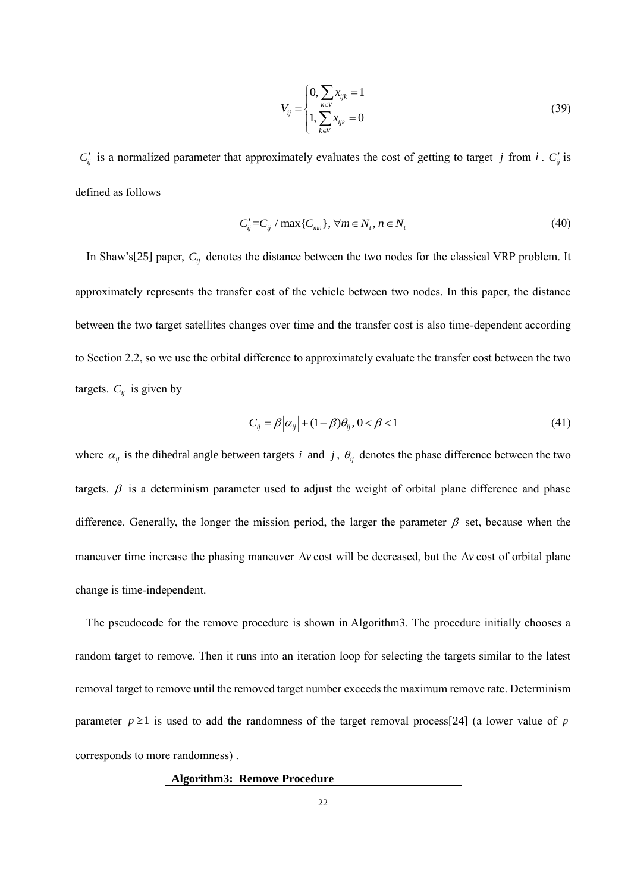$$
V_{ij} = \begin{cases} 0, \sum_{k \in V} x_{ijk} = 1\\ 1, \sum_{k \in V} x_{ijk} = 0 \end{cases}
$$
 (39)

 $C'_{ij}$  is a normalized parameter that approximately evaluates the cost of getting to target *j* from *i*.  $C'_{ij}$  is defined as follows

$$
C'_{ij} = C_{ij} / \max\{C_{mn}\}, \forall m \in N_t, n \in N_t
$$
\n
$$
(40)
$$

In Shaw's[25] paper,  $C_{ij}$  denotes the distance between the two nodes for the classical VRP problem. It approximately represents the transfer cost of the vehicle between two nodes. In this paper, the distance between the two target satellites changes over time and the transfer cost is also time-dependent according to Section 2.2, so we use the orbital difference to approximately evaluate the transfer cost between the two targets.  $C_{ij}$  is given by

$$
C_{ij} = \beta \left| \alpha_{ij} \right| + (1 - \beta)\theta_{ij}, 0 < \beta < 1 \tag{41}
$$

where  $\alpha_{ij}$  is the dihedral angle between targets *i* and *j*,  $\theta_{ij}$  denotes the phase difference between the two targets.  $\beta$  is a determinism parameter used to adjust the weight of orbital plane difference and phase difference. Generally, the longer the mission period, the larger the parameter  $\beta$  set, because when the maneuver time increase the phasing maneuver  $\Delta v$  cost will be decreased, but the  $\Delta v$  cost of orbital plane change is time-independent.

The pseudocode for the remove procedure is shown in Algorithm3. The procedure initially chooses a random target to remove. Then it runs into an iteration loop for selecting the targets similar to the latest removal target to remove until the removed target number exceeds the maximum remove rate. Determinism parameter  $p \ge 1$  is used to add the randomness of the target removal process[24] (a lower value of p corresponds to more randomness) .

**Algorithm3: Remove Procedure**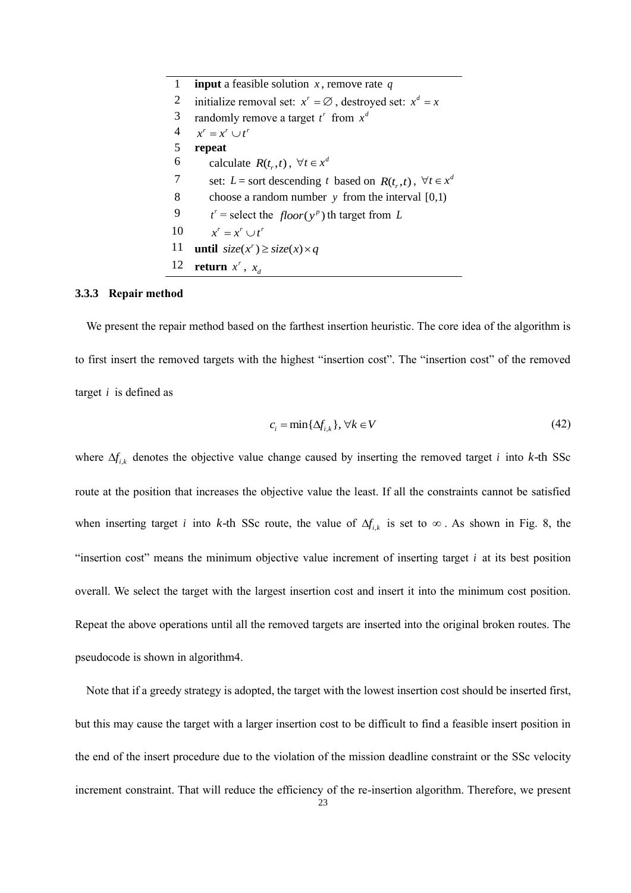| 1              | <b>input</b> a feasible solution x, remove rate q                    |
|----------------|----------------------------------------------------------------------|
| 2              | initialize removal set: $x^r = \emptyset$ , destroyed set: $x^d = x$ |
| 3              | randomly remove a target $t^r$ from $x^d$                            |
| $\overline{4}$ | $x^r = x^r \cup t^r$                                                 |
| 5              | repeat                                                               |
| 6              | calculate $R(t_1,t)$ , $\forall t \in x^d$                           |
| 7              | set: L = sort descending t based on $R(t_r,t)$ , $\forall t \in x^d$ |
| 8              | choose a random number $y$ from the interval $[0,1)$                 |
| 9              | $t'$ = select the floor(y <sup>p</sup> ) th target from L            |
| 10             | $x^r = x^r \cup t^r$                                                 |
| 11             | <b>until</b> $size(x') \geq size(x) \times q$                        |
| 12             | return $x^r$ , $x_d$                                                 |

#### **3.3.3 Repair method**

We present the repair method based on the farthest insertion heuristic. The core idea of the algorithm is to first insert the removed targets with the highest "insertion cost". The "insertion cost" of the removed target *i* is defined as

$$
c_i = \min\{\Delta f_{i,k}\}, \forall k \in V \tag{42}
$$

where  $\Delta f_{i,k}$  denotes the objective value change caused by inserting the removed target *i* into *k*-th SSc route at the position that increases the objective value the least. If all the constraints cannot be satisfied when inserting target *i* into *k*-th SSc route, the value of  $\Delta f_{i,k}$  is set to  $\infty$ . As shown in Fig. 8, the "insertion cost" means the minimum objective value increment of inserting target *i* at its best position overall. We select the target with the largest insertion cost and insert it into the minimum cost position. Repeat the above operations until all the removed targets are inserted into the original broken routes. The pseudocode is shown in algorithm4.

Note that if a greedy strategy is adopted, the target with the lowest insertion cost should be inserted first, but this may cause the target with a larger insertion cost to be difficult to find a feasible insert position in the end of the insert procedure due to the violation of the mission deadline constraint or the SSc velocity increment constraint. That will reduce the efficiency of the re-insertion algorithm. Therefore, we present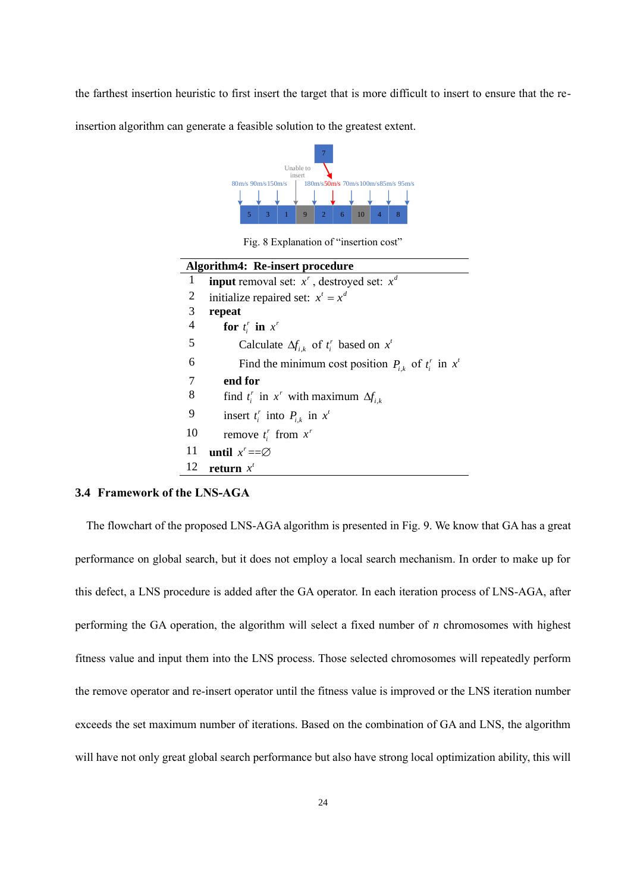the farthest insertion heuristic to first insert the target that is more difficult to insert to ensure that the re-

insertion algorithm can generate a feasible solution to the greatest extent.



Fig. 8 Explanation of "insertion cost"

|                          | <b>Algorithm4: Re-insert procedure</b>                       |
|--------------------------|--------------------------------------------------------------|
| 1                        | <b>input</b> removal set: $x^r$ , destroyed set: $x^d$       |
| 2                        | initialize repaired set: $x^t = x^d$                         |
| 3                        | repeat                                                       |
| $\overline{\mathcal{A}}$ | for $t_i^r$ in $x^r$                                         |
| 5                        | Calculate $\Delta f_{i,k}$ of $t_i^r$ based on $x^t$         |
| 6                        | Find the minimum cost position $P_{i,k}$ of $t_i^r$ in $x^t$ |
| 7                        | end for                                                      |
| 8                        | find $t_i^r$ in $x^r$ with maximum $\Delta f_{i,k}$          |
| 9                        | insert $t_i^r$ into $P_{i,k}$ in $x^t$                       |
| 10                       | remove $t_i^r$ from $x^r$                                    |
| 11                       | until $x' = \emptyset$                                       |
| 12                       | return $x^t$                                                 |

# **3.4 Framework of the LNS-AGA**

The flowchart of the proposed LNS-AGA algorithm is presented in Fig. 9. We know that GA has a great performance on global search, but it does not employ a local search mechanism. In order to make up for this defect, a LNS procedure is added after the GA operator. In each iteration process of LNS-AGA, after performing the GA operation, the algorithm will select a fixed number of *n* chromosomes with highest fitness value and input them into the LNS process. Those selected chromosomes will repeatedly perform the remove operator and re-insert operator until the fitness value is improved or the LNS iteration number exceeds the set maximum number of iterations. Based on the combination of GA and LNS, the algorithm will have not only great global search performance but also have strong local optimization ability, this will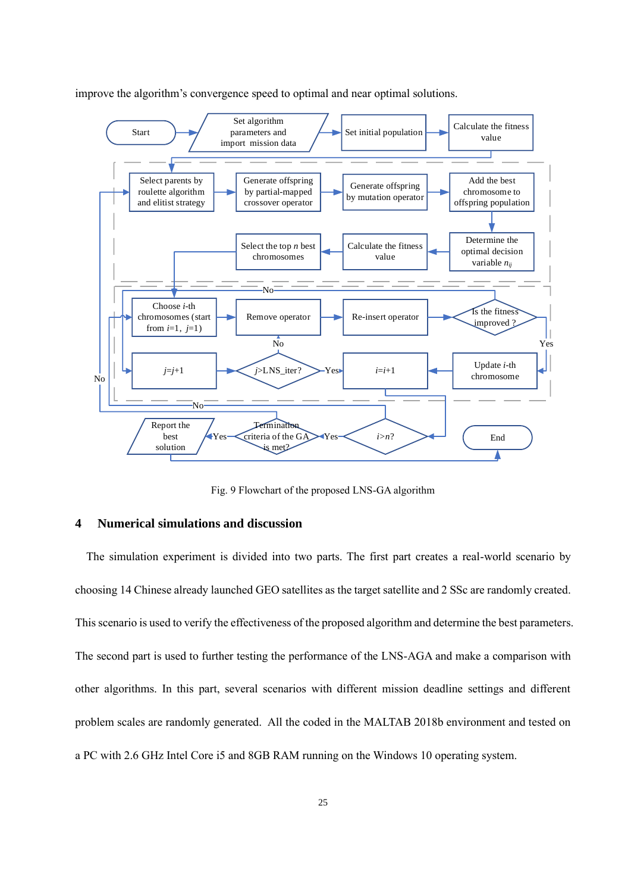

improve the algorithm's convergence speed to optimal and near optimal solutions.

Fig. 9 Flowchart of the proposed LNS-GA algorithm

## **4 Numerical simulations and discussion**

The simulation experiment is divided into two parts. The first part creates a real-world scenario by choosing 14 Chinese already launched GEO satellites as the target satellite and 2 SSc are randomly created. This scenario is used to verify the effectiveness of the proposed algorithm and determine the best parameters. The second part is used to further testing the performance of the LNS-AGA and make a comparison with other algorithms. In this part, several scenarios with different mission deadline settings and different problem scales are randomly generated. All the coded in the MALTAB 2018b environment and tested on a PC with 2.6 GHz Intel Core i5 and 8GB RAM running on the Windows 10 operating system.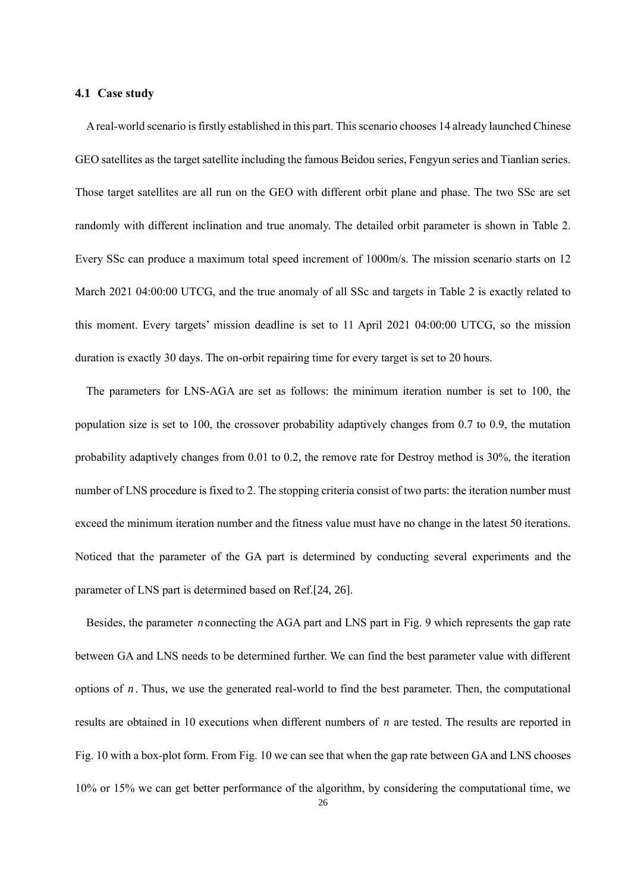### **4.1 Case study**

A real-world scenario is firstly established in this part. Thisscenario chooses 14 already launched Chinese GEO satellites as the target satellite including the famous Beidou series, Fengyun series and Tianlian series. Those target satellites are all run on the GEO with different orbit plane and phase. The two SSc are set randomly with different inclination and true anomaly. The detailed orbit parameter is shown in Table 2. Every SSc can produce a maximum total speed increment of 1000m/s. The mission scenario starts on 12 March 2021 04:00:00 UTCG, and the true anomaly of all SSc and targets in Table 2 is exactly related to this moment. Every targets' mission deadline is set to 11 April 2021 04:00:00 UTCG, so the mission duration is exactly 30 days. The on-orbit repairing time for every target is set to 20 hours.

The parameters for LNS-AGA are set as follows: the minimum iteration number is set to 100, the population size is set to 100, the crossover probability adaptively changes from 0.7 to 0.9, the mutation probability adaptively changes from 0.01 to 0.2, the remove rate for Destroy method is 30%, the iteration number of LNS procedure is fixed to 2. The stopping criteria consist of two parts: the iteration number must exceed the minimum iteration number and the fitness value must have no change in the latest 50 iterations. Noticed that the parameter of the GA part is determined by conducting several experiments and the parameter of LNS part is determined based on Ref.[24, 26].

Besides, the parameter *n* connecting the AGA part and LNS part in Fig. 9 which represents the gap rate between GA and LNS needs to be determined further. We can find the best parameter value with different options of *n* . Thus, we use the generated real-world to find the best parameter. Then, the computational results are obtained in 10 executions when different numbers of *n* are tested. The results are reported in Fig. 10 with a box-plot form. From Fig. 10 we can see that when the gap rate between GA and LNS chooses 10% or 15% we can get better performance of the algorithm, by considering the computational time, we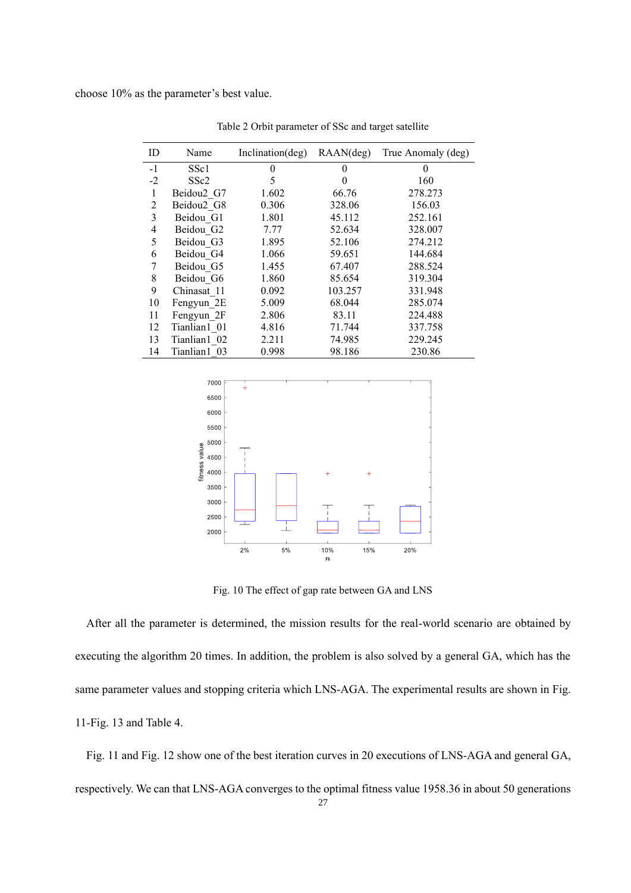choose 10% as the parameter's best value.

| ID             | Name             | Inclination(deg) | RAAN(deg) | True Anomaly (deg) |
|----------------|------------------|------------------|-----------|--------------------|
| $-1$           | SSc1             | $\theta$         | $\theta$  | 0                  |
| $-2$           | SSc <sub>2</sub> | 5                | 0         | 160                |
| $\mathbf{1}$   | Beidou2 G7       | 1.602            | 66.76     | 278.273            |
| $\overline{2}$ | Beidou2 G8       | 0.306            | 328.06    | 156.03             |
| 3              | Beidou G1        | 1.801            | 45.112    | 252.161            |
| 4              | Beidou G2        | 7.77             | 52.634    | 328.007            |
| 5              | Beidou G3        | 1.895            | 52.106    | 274.212            |
| 6              | Beidou G4        | 1.066            | 59.651    | 144.684            |
| 7              | Beidou G5        | 1.455            | 67.407    | 288.524            |
| 8              | Beidou G6        | 1.860            | 85.654    | 319.304            |
| 9              | Chinasat 11      | 0.092            | 103.257   | 331.948            |
| 10             | Fengyun 2E       | 5.009            | 68.044    | 285.074            |
| 11             | Fengyun 2F       | 2.806            | 83.11     | 224.488            |
| 12             | Tianlian1 01     | 4.816            | 71.744    | 337.758            |
| 13             | Tianlian1 02     | 2.211            | 74.985    | 229.245            |
| 14             | Tianlian1 03     | 0.998            | 98.186    | 230.86             |

Table 2 Orbit parameter of SSc and target satellite



Fig. 10 The effect of gap rate between GA and LNS

After all the parameter is determined, the mission results for the real-world scenario are obtained by executing the algorithm 20 times. In addition, the problem is also solved by a general GA, which has the same parameter values and stopping criteria which LNS-AGA. The experimental results are shown in Fig. 11-Fig. 13 and Table 4.

Fig. 11 and Fig. 12 show one of the best iteration curves in 20 executions of LNS-AGA and general GA, respectively. We can that LNS-AGA converges to the optimal fitness value 1958.36 in about 50 generations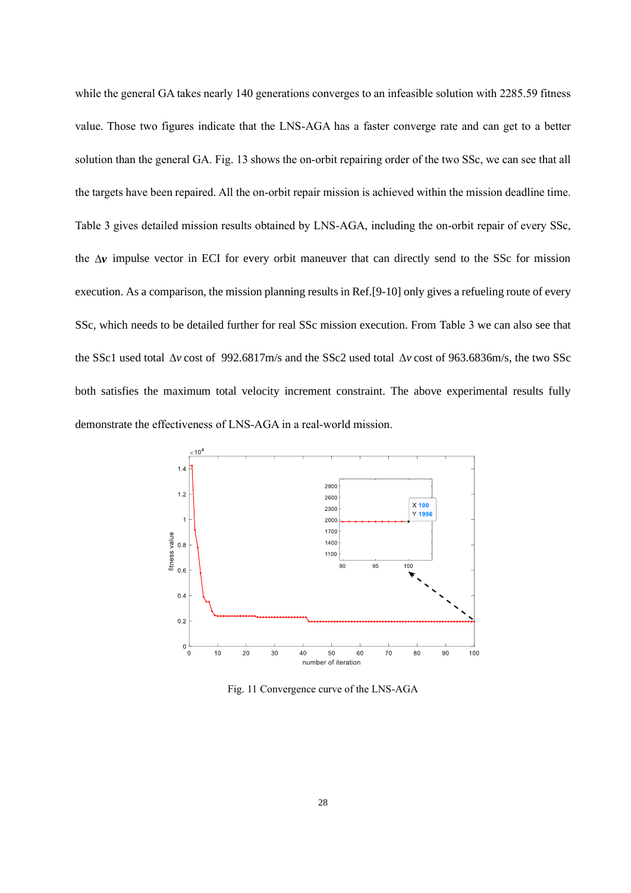while the general GA takes nearly 140 generations converges to an infeasible solution with 2285.59 fitness value. Those two figures indicate that the LNS-AGA has a faster converge rate and can get to a better solution than the general GA. Fig. 13 shows the on-orbit repairing order of the two SSc, we can see that all the targets have been repaired. All the on-orbit repair mission is achieved within the mission deadline time. Table 3 gives detailed mission results obtained by LNS-AGA, including the on-orbit repair of every SSc, the  $\Delta v$  impulse vector in ECI for every orbit maneuver that can directly send to the SSc for mission execution. As a comparison, the mission planning results in Ref.[9-10] only gives a refueling route of every SSc, which needs to be detailed further for real SSc mission execution. From Table 3 we can also see that the SSc1 used total  $\Delta v$  cost of 992.6817m/s and the SSc2 used total  $\Delta v$  cost of 963.6836m/s, the two SSc both satisfies the maximum total velocity increment constraint. The above experimental results fully demonstrate the effectiveness of LNS-AGA in a real-world mission.



Fig. 11 Convergence curve of the LNS-AGA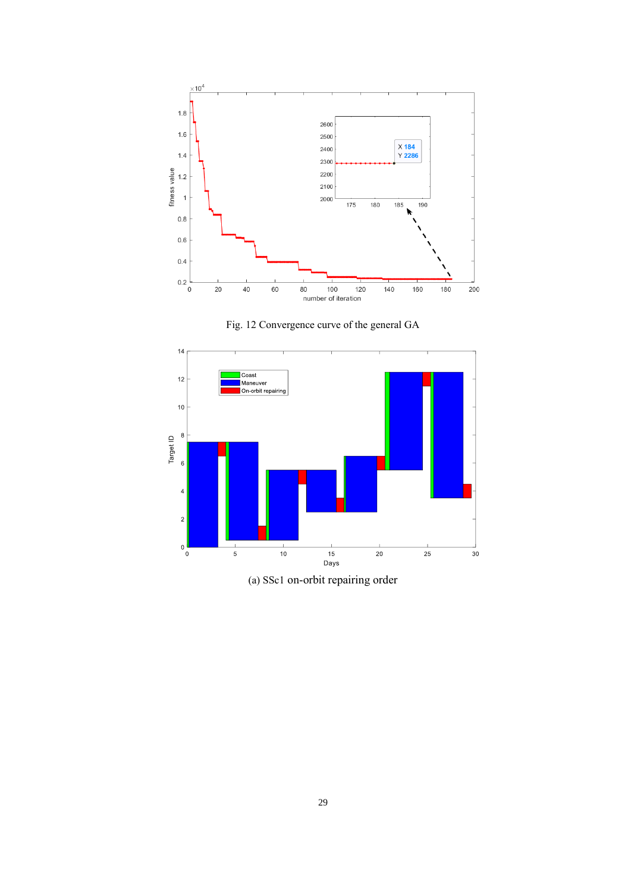





(a) SSc1 on-orbit repairing order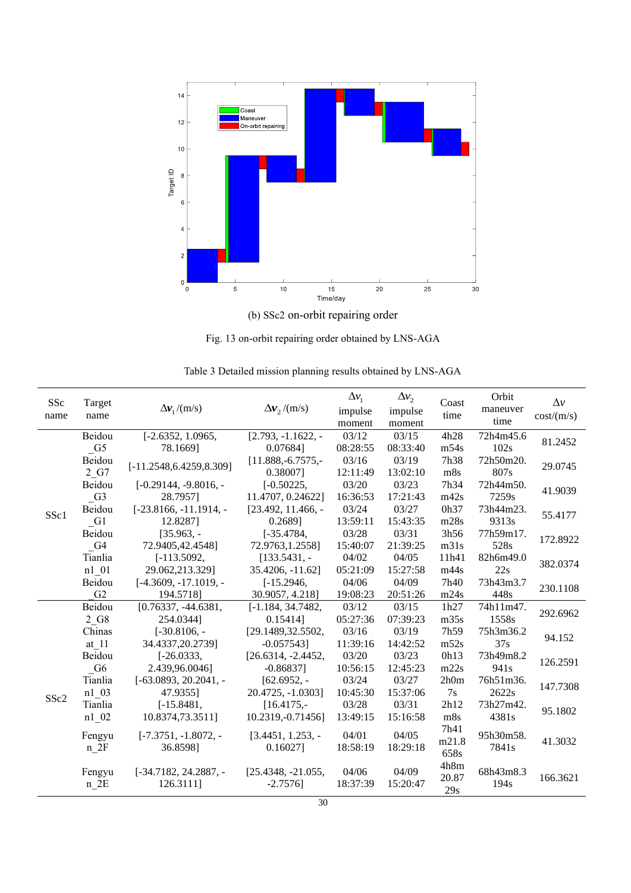

Fig. 13 on-orbit repairing order obtained by LNS-AGA

| SSc  | Target         |                               |                       | $\Delta v_1$ | $\Delta v_2$ | Coast | Orbit            | $\Delta v$ |  |
|------|----------------|-------------------------------|-----------------------|--------------|--------------|-------|------------------|------------|--|
| name | name           | $\Delta v_1/(m/s)$            | $\Delta v$ , /(m/s)   | impulse      | impulse      | time  | maneuver         | cost/(m/s) |  |
|      |                |                               |                       | moment       | moment       |       | time             |            |  |
|      | Beidou         | $[-2.6352, 1.0965,$           | $[2.793, -1.1622, -]$ | 03/12        | 03/15        | 4h28  | 72h4m45.6        | 81.2452    |  |
|      | G <sub>5</sub> | 78.1669]                      | 0.076841              | 08:28:55     | 08:33:40     | m54s  | 102s             |            |  |
|      | Beidou         | $[-11.2548, 6.4259, 8.309]$   | $[11.888,-6.7575,-$   | 03/16        | 03/19        | 7h38  | 72h50m20.        | 29.0745    |  |
|      | 2 G7           |                               | 0.380071              | 12:11:49     | 13:02:10     | m8s   | 807s             |            |  |
|      | Beidou         | $[-0.29144, -9.8016, -$       | $[-0.50225,$          | 03/20        | 03/23        | 7h34  | 72h44m50.        | 41.9039    |  |
|      | G <sub>3</sub> | 28.7957]                      | 11.4707, 0.24622]     | 16:36:53     | 17:21:43     | m42s  | 7259s            |            |  |
| SSc1 | Beidou         | $[-23.8166, -11.1914, -]$     | $[23.492, 11.466, -]$ | 03/24        | 03/27        | 0h37  | 73h44m23.        | 55.4177    |  |
|      | G1             | 12.82871                      | 0.2689]               | 13:59:11     | 15:43:35     | m28s  | 9313s            |            |  |
|      | Beidou         | $[35.963, -]$                 | $[-35.4784,$          | 03/28        | 03/31        | 3h56  | 77h59m17.        | 172.8922   |  |
|      | G <sub>4</sub> | 72.9405,42.4548]              | 72.9763,1.2558]       | 15:40:07     | 21:39:25     | m31s  | 528s             |            |  |
|      | Tianlia        | $[-113.5092,$                 | $[133.5431, -]$       | 04/02        | 04/05        | 11h41 | 82h6m49.0        | 382.0374   |  |
|      | n1 01          | 29.062,213.329]               | 35.4206, -11.62]      | 05:21:09     | 15:27:58     | m44s  | 22s              |            |  |
|      | Beidou         | $[-4.3609, -17.1019, -$       | $[-15.2946,$          | 04/06        | 04/09        | 7h40  | 73h43m3.7        | 230.1108   |  |
|      | G2             | 194.5718]                     | 30.9057, 4.218]       | 19:08:23     | 20:51:26     | m24s  | 448s             |            |  |
|      | Beidou         | $[0.76337, -44.6381,$         | $[-1.184, 34.7482,$   | 03/12        | 03/15        | 1h27  | 74h11m47.        | 292.6962   |  |
|      | 2 G8           | 254.03441                     | 0.154141              | 05:27:36     | 07:39:23     | m35s  | 1558s            |            |  |
|      | Chinas         | $[-30.8106, -]$               | [29.1489,32.5502,     | 03/16        | 03/19        | 7h59  | 75h3m36.2        | 94.152     |  |
|      | at 11          | 34.4337,20.2739]              | $-0.057543$ ]         | 11:39:16     | 14:42:52     | m52s  | 37s              |            |  |
|      | Beidou         | $[-26.0333,$                  | $[26.6314, -2.4452,$  | 03/20        | 03/23        | 0h13  | 73h49m8.2        | 126.2591   |  |
|      | G6             | 2.439,96.0046]                | $-0.86837$ ]          | 10:56:15     | 12:45:23     | m22s  | 941 <sub>s</sub> |            |  |
|      | Tianlia        | $[-63.0893, 20.2041, -]$      | $[62.6952, -]$        | 03/24        | 03/27        | 2h0m  | 76h51m36.        | 147.7308   |  |
| SSc2 | n1 03          | 47.93551                      | 20.4725, -1.0303]     | 10:45:30     | 15:37:06     | 7s    | 2622s            |            |  |
|      | Tianlia        | $[-15.8481,$                  | $[16.4175,-]$         | 03/28        | 03/31        | 2h12  | 73h27m42.        | 95.1802    |  |
|      | n1 02          | 10.8374,73.3511]              | 10.2319, -0.71456]    | 13:49:15     | 15:16:58     | m8s   | 4381s            |            |  |
|      | Fengyu         | $[-7.3751, -1.8072, -1.8072]$ | $[3.4451, 1.253, -]$  | 04/01        | 04/05        | 7h41  | 95h30m58.        |            |  |
|      | $n_2F$         | 36.8598]                      | 0.160271              | 18:58:19     | 18:29:18     | m21.8 | 7841s            | 41.3032    |  |
|      |                |                               |                       |              |              | 658s  |                  |            |  |
|      | Fengyu         | [-34.7182, 24.2887, -         | $[25.4348, -21.055,$  | 04/06        | 04/09        | 4h8m  | 68h43m8.3        |            |  |
|      | $n$ 2E         | 126.3111]                     | $-2.7576$             | 18:37:39     | 15:20:47     | 20.87 | 194 <sub>s</sub> | 166.3621   |  |
|      |                |                               |                       |              |              | 29s   |                  |            |  |

Table 3 Detailed mission planning results obtained by LNS-AGA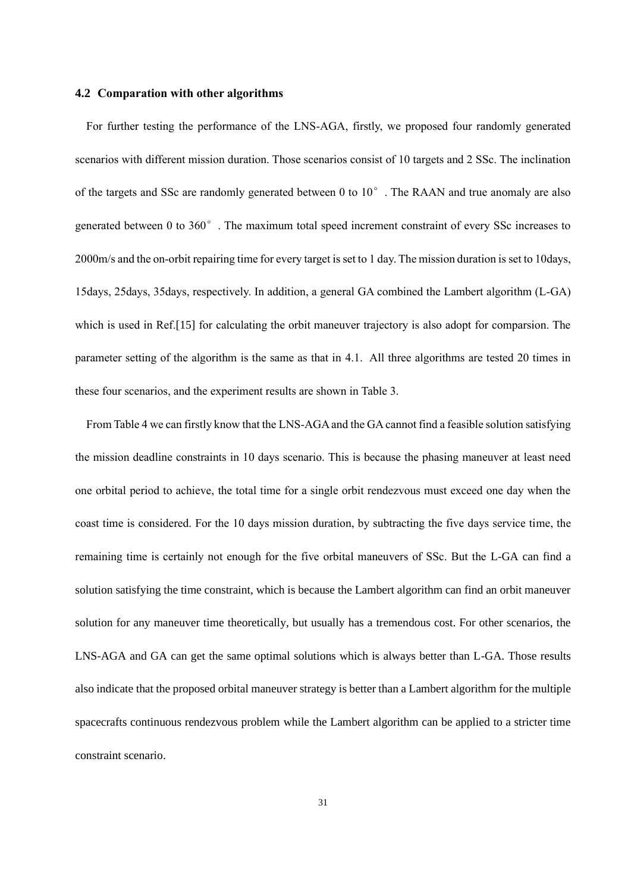# **4.2 Comparation with other algorithms**

For further testing the performance of the LNS-AGA, firstly, we proposed four randomly generated scenarios with different mission duration. Those scenarios consist of 10 targets and 2 SSc. The inclination of the targets and SSc are randomly generated between 0 to  $10^{\circ}$ . The RAAN and true anomaly are also generated between 0 to 360°. The maximum total speed increment constraint of every SSc increases to 2000m/s and the on-orbit repairing time for every target is set to 1 day. The mission duration is set to 10days, 15days, 25days, 35days, respectively. In addition, a general GA combined the Lambert algorithm (L-GA) which is used in Ref.[15] for calculating the orbit maneuver trajectory is also adopt for comparsion. The parameter setting of the algorithm is the same as that in 4.1. All three algorithms are tested 20 times in these four scenarios, and the experiment results are shown in Table 3.

From Table 4 we can firstly know that the LNS-AGA and the GA cannot find a feasible solution satisfying the mission deadline constraints in 10 days scenario. This is because the phasing maneuver at least need one orbital period to achieve, the total time for a single orbit rendezvous must exceed one day when the coast time is considered. For the 10 days mission duration, by subtracting the five days service time, the remaining time is certainly not enough for the five orbital maneuvers of SSc. But the L-GA can find a solution satisfying the time constraint, which is because the Lambert algorithm can find an orbit maneuver solution for any maneuver time theoretically, but usually has a tremendous cost. For other scenarios, the LNS-AGA and GA can get the same optimal solutions which is always better than L-GA. Those results also indicate that the proposed orbital maneuver strategy is better than a Lambert algorithm for the multiple spacecrafts continuous rendezvous problem while the Lambert algorithm can be applied to a stricter time constraint scenario.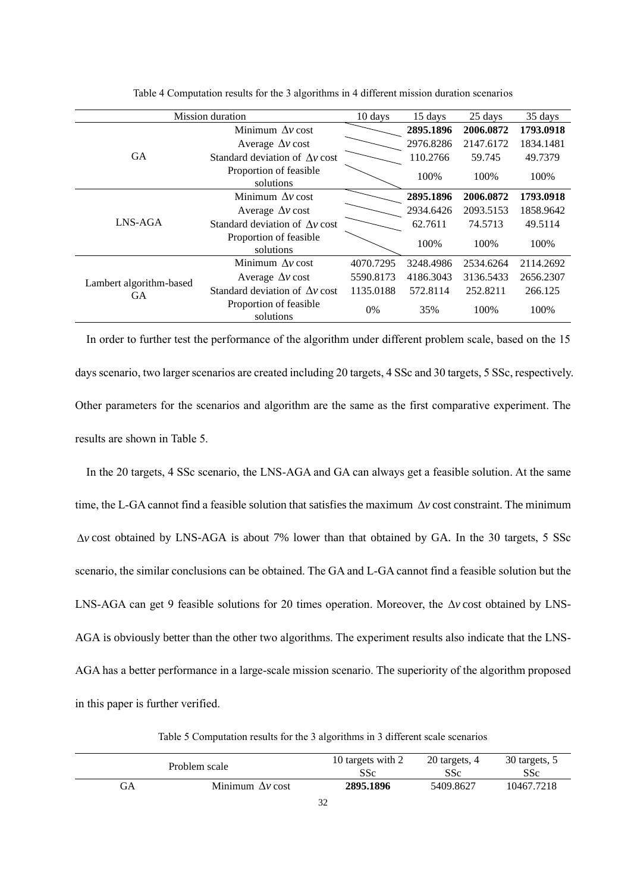|                         | <b>Mission</b> duration                |           |           | 25 days   | 35 days   |
|-------------------------|----------------------------------------|-----------|-----------|-----------|-----------|
|                         | Minimum $\Delta v$ cost                |           | 2895.1896 | 2006.0872 | 1793.0918 |
|                         | Average $\Delta v$ cost                |           | 2976.8286 | 2147.6172 | 1834.1481 |
| <b>GA</b>               | Standard deviation of $\Lambda v$ cost |           | 110.2766  | 59.745    | 49.7379   |
|                         | Proportion of feasible<br>solutions    |           | 100%      | 100%      | 100%      |
|                         | Minimum $\Lambda v$ cost               |           | 2895.1896 | 2006.0872 | 1793.0918 |
|                         | Average $\Delta v$ cost                |           | 2934.6426 | 2093.5153 | 1858.9642 |
| LNS-AGA                 | Standard deviation of $\Lambda v$ cost |           | 62.7611   | 74.5713   | 49.5114   |
|                         | Proportion of feasible<br>solutions    |           | 100%      | 100%      | 100%      |
|                         | Minimum $\Delta v$ cost                | 4070.7295 | 3248.4986 | 2534.6264 | 2114.2692 |
| Lambert algorithm-based | Average $\Delta v$ cost                | 5590.8173 | 4186.3043 | 3136.5433 | 2656.2307 |
| <b>GA</b>               | Standard deviation of $\Lambda v$ cost | 1135.0188 | 572.8114  | 252.8211  | 266.125   |
|                         | Proportion of feasible<br>solutions    | 0%        | 35%       | 100%      | 100%      |

Table 4 Computation results for the 3 algorithms in 4 different mission duration scenarios

In order to further test the performance of the algorithm under different problem scale, based on the 15 days scenario, two larger scenarios are created including 20 targets, 4 SSc and 30 targets, 5 SSc, respectively. Other parameters for the scenarios and algorithm are the same as the first comparative experiment. The results are shown in Table 5.

In the 20 targets, 4 SSc scenario, the LNS-AGA and GA can always get a feasible solution. At the same time, the L-GA cannot find a feasible solution that satisfies the maximum  $\Delta v$  cost constraint. The minimum *<sup>v</sup>* cost obtained by LNS-AGA is about 7% lower than that obtained by GA. In the 30 targets, 5 SSc scenario, the similar conclusions can be obtained. The GA and L-GA cannot find a feasible solution but the LNS-AGA can get 9 feasible solutions for 20 times operation. Moreover, the  $\Delta v$  cost obtained by LNS-AGA is obviously better than the other two algorithms. The experiment results also indicate that the LNS-AGA has a better performance in a large-scale mission scenario. The superiority of the algorithm proposed in this paper is further verified.

Table 5 Computation results for the 3 algorithms in 3 different scale scenarios

| Problem scale |                         | 10 targets with 2 | 20 targets, 4 | 30 targets, 5 |
|---------------|-------------------------|-------------------|---------------|---------------|
|               |                         | SSc               | SSc           | SSc           |
| GА            | Minimum $\Delta v$ cost | 2895.1896<br>$ -$ | 5409.8627     | 10467.7218    |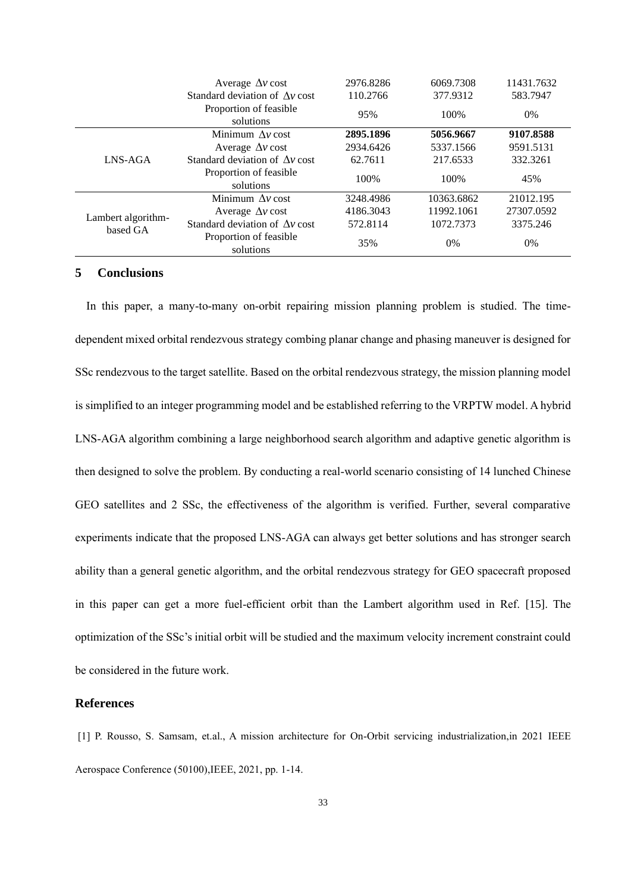|                                | Average $\Delta v$ cost                | 2976.8286 | 6069.7308  | 11431.7632 |
|--------------------------------|----------------------------------------|-----------|------------|------------|
|                                | Standard deviation of $\Lambda v$ cost | 110.2766  | 377.9312   | 583.7947   |
|                                | Proportion of feasible<br>solutions    | 95%       | 100%       | $0\%$      |
|                                | Minimum $\Lambda v$ cost               | 2895.1896 | 5056.9667  | 9107.8588  |
|                                | Average $\Delta v$ cost                | 2934.6426 | 5337.1566  | 9591.5131  |
| LNS-AGA                        | Standard deviation of Av cost          | 62.7611   | 217.6533   | 332.3261   |
|                                | Proportion of feasible<br>solutions    | 100%      | 100\%      | 45%        |
|                                | Minimum $\Lambda v$ cost               | 3248.4986 | 10363.6862 | 21012.195  |
| Lambert algorithm-<br>based GA | Average $\Delta v$ cost                | 4186.3043 | 11992.1061 | 27307.0592 |
|                                | Standard deviation of Av cost          | 572.8114  | 1072.7373  | 3375.246   |
|                                | Proportion of feasible<br>solutions    | 35%       | $0\%$      | $0\%$      |

# **5 Conclusions**

In this paper, a many-to-many on-orbit repairing mission planning problem is studied. The timedependent mixed orbital rendezvous strategy combing planar change and phasing maneuver is designed for SSc rendezvous to the target satellite. Based on the orbital rendezvous strategy, the mission planning model is simplified to an integer programming model and be established referring to the VRPTW model. A hybrid LNS-AGA algorithm combining a large neighborhood search algorithm and adaptive genetic algorithm is then designed to solve the problem. By conducting a real-world scenario consisting of 14 lunched Chinese GEO satellites and 2 SSc, the effectiveness of the algorithm is verified. Further, several comparative experiments indicate that the proposed LNS-AGA can always get better solutions and has stronger search ability than a general genetic algorithm, and the orbital rendezvous strategy for GEO spacecraft proposed in this paper can get a more fuel-efficient orbit than the Lambert algorithm used in Ref. [15]. The optimization of the SSc's initial orbit will be studied and the maximum velocity increment constraint could be considered in the future work.

## **References**

[1] P. Rousso, S. Samsam, et.al., A mission architecture for On-Orbit servicing industrialization,in 2021 IEEE Aerospace Conference (50100),IEEE, 2021, pp. 1-14.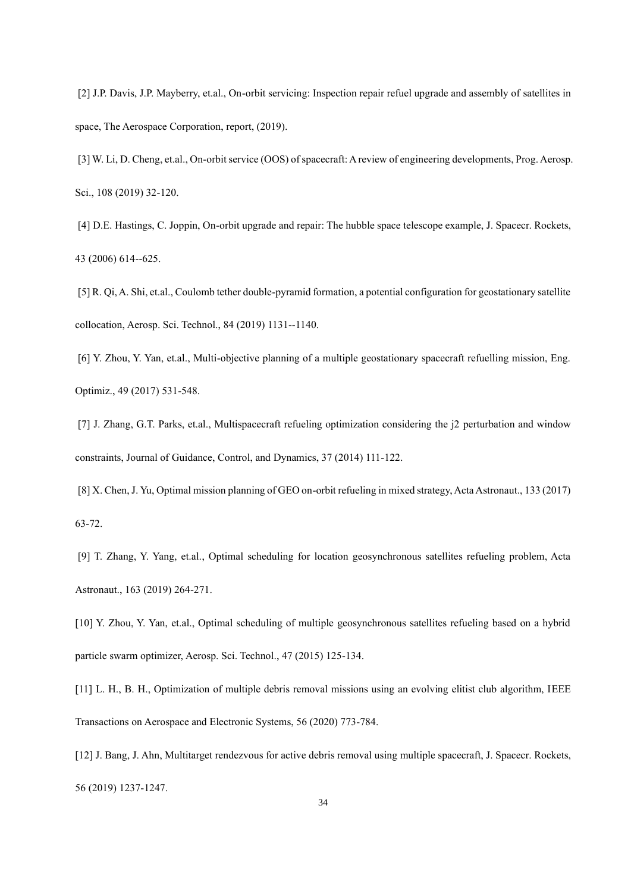[2] J.P. Davis, J.P. Mayberry, et.al., On-orbit servicing: Inspection repair refuel upgrade and assembly of satellites in space, The Aerospace Corporation, report, (2019).

[3] W. Li, D. Cheng, et.al., On-orbit service (OOS) of spacecraft: A review of engineering developments, Prog. Aerosp. Sci., 108 (2019) 32-120.

[4] D.E. Hastings, C. Joppin, On-orbit upgrade and repair: The hubble space telescope example, J. Spacecr. Rockets, 43 (2006) 614--625.

[5] R. Qi, A. Shi, et.al., Coulomb tether double-pyramid formation, a potential configuration for geostationary satellite collocation, Aerosp. Sci. Technol., 84 (2019) 1131--1140.

[6] Y. Zhou, Y. Yan, et.al., Multi-objective planning of a multiple geostationary spacecraft refuelling mission, Eng. Optimiz., 49 (2017) 531-548.

[7] J. Zhang, G.T. Parks, et.al., Multispacecraft refueling optimization considering the j2 perturbation and window constraints, Journal of Guidance, Control, and Dynamics, 37 (2014) 111-122.

[8] X. Chen, J. Yu, Optimal mission planning of GEO on-orbit refueling in mixed strategy, Acta Astronaut., 133 (2017) 63-72.

[9] T. Zhang, Y. Yang, et.al., Optimal scheduling for location geosynchronous satellites refueling problem, Acta Astronaut., 163 (2019) 264-271.

[10] Y. Zhou, Y. Yan, et.al., Optimal scheduling of multiple geosynchronous satellites refueling based on a hybrid particle swarm optimizer, Aerosp. Sci. Technol., 47 (2015) 125-134.

[11] L. H., B. H., Optimization of multiple debris removal missions using an evolving elitist club algorithm, IEEE Transactions on Aerospace and Electronic Systems, 56 (2020) 773-784.

[12] J. Bang, J. Ahn, Multitarget rendezvous for active debris removal using multiple spacecraft, J. Spacecr. Rockets, 56 (2019) 1237-1247.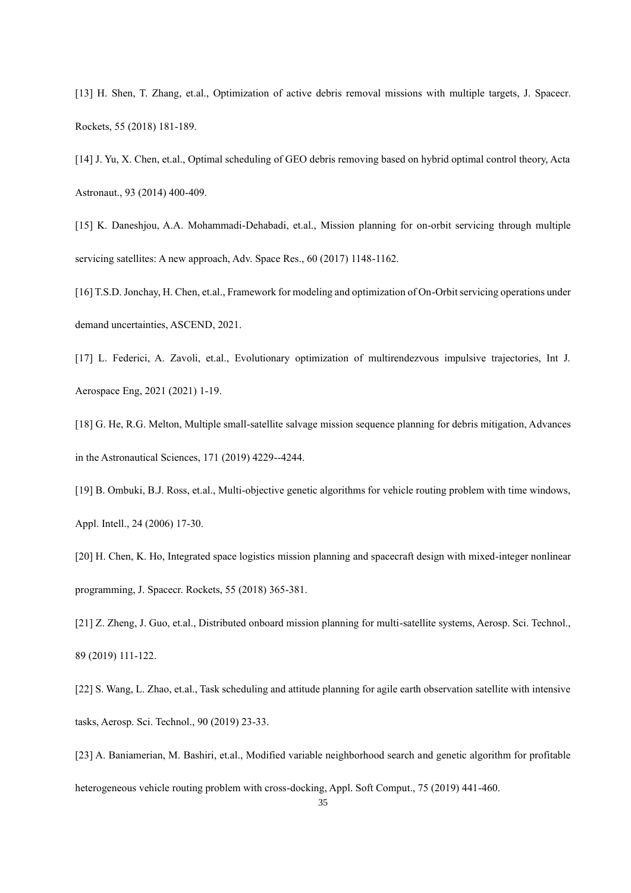[13] H. Shen, T. Zhang, et.al., Optimization of active debris removal missions with multiple targets, J. Spacecr. Rockets, 55 (2018) 181-189.

[14] J. Yu, X. Chen, et.al., Optimal scheduling of GEO debris removing based on hybrid optimal control theory, Acta Astronaut., 93 (2014) 400-409.

[15] K. Daneshjou, A.A. Mohammadi-Dehabadi, et.al., Mission planning for on-orbit servicing through multiple servicing satellites: A new approach, Adv. Space Res., 60 (2017) 1148-1162.

[16] T.S.D. Jonchay, H. Chen, et.al., Framework for modeling and optimization of On-Orbit servicing operations under demand uncertainties, ASCEND, 2021.

[17] L. Federici, A. Zavoli, et.al., Evolutionary optimization of multirendezvous impulsive trajectories, Int J. Aerospace Eng, 2021 (2021) 1-19.

[18] G. He, R.G. Melton, Multiple small-satellite salvage mission sequence planning for debris mitigation, Advances in the Astronautical Sciences, 171 (2019) 4229--4244.

[19] B. Ombuki, B.J. Ross, et.al., Multi-objective genetic algorithms for vehicle routing problem with time windows, Appl. Intell., 24 (2006) 17-30.

[20] H. Chen, K. Ho, Integrated space logistics mission planning and spacecraft design with mixed-integer nonlinear programming, J. Spacecr. Rockets, 55 (2018) 365-381.

[21] Z. Zheng, J. Guo, et.al., Distributed onboard mission planning for multi-satellite systems, Aerosp. Sci. Technol., 89 (2019) 111-122.

[22] S. Wang, L. Zhao, et.al., Task scheduling and attitude planning for agile earth observation satellite with intensive tasks, Aerosp. Sci. Technol., 90 (2019) 23-33.

[23] A. Baniamerian, M. Bashiri, et.al., Modified variable neighborhood search and genetic algorithm for profitable heterogeneous vehicle routing problem with cross-docking, Appl. Soft Comput., 75 (2019) 441-460.